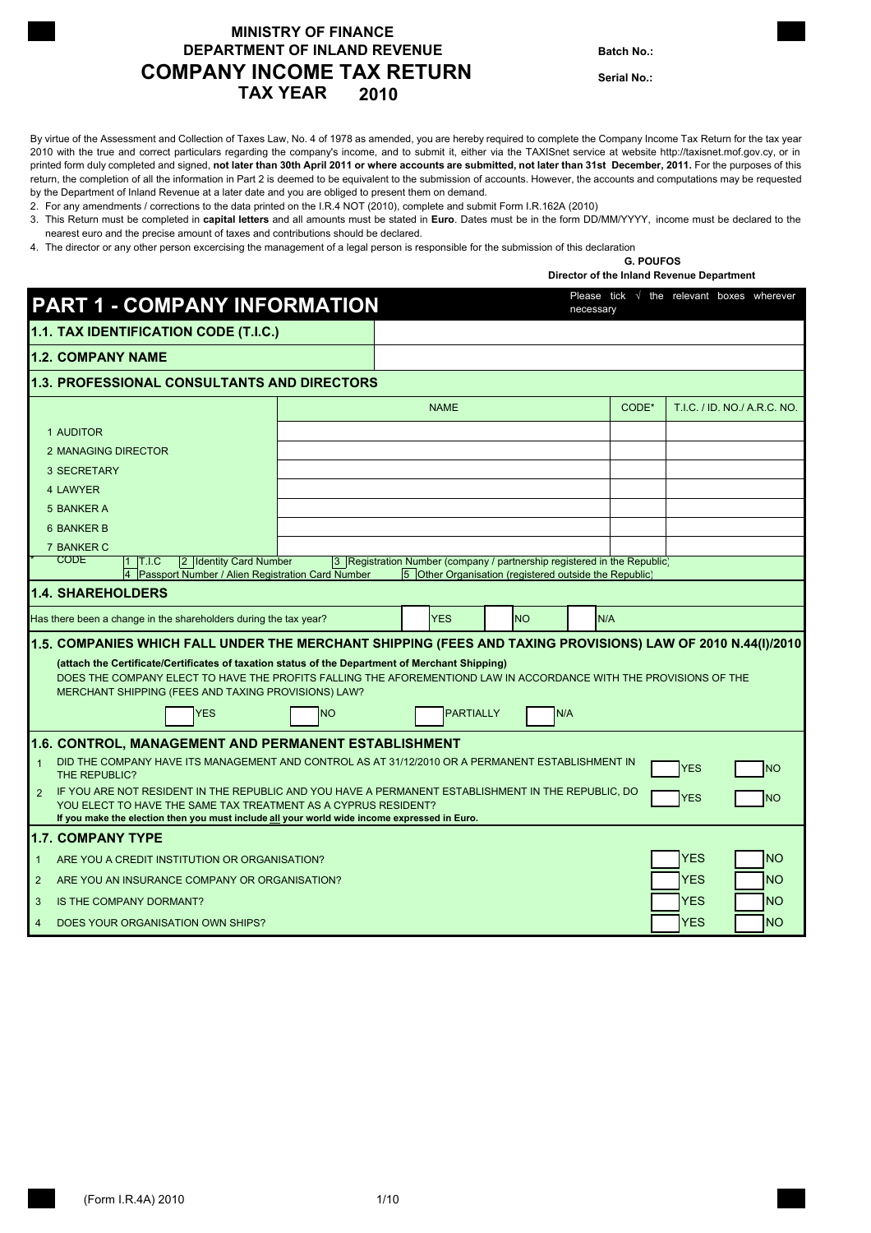## **MINISTRY OF FINANCE DEPARTMENT OF INLAND REVENUE Batch No.: TAX YEAR 2010 COMPANY INCOME TAX RETURN**

**Serial No.:**

By virtue of the Assessment and Collection of Taxes Law, No. 4 of 1978 as amended, you are hereby required to complete the Company Income Tax Return for the tax year 2010 with the true and correct particulars regarding the company's income, and to submit it, either via the TAXISnet service at website http://taxisnet.mof.gov.cy, or in printed form duly completed and signed, **not later than 30th April 2011 or where accounts are submitted, not later than 31st December, 2011.** For the purposes of this return, the completion of all the information in Part 2 is deemed to be equivalent to the submission of accounts. However, the accounts and computations may be requested by the Department of Inland Revenue at a later date and you are obliged to present them on demand.

2. For any amendments / corrections to the data printed on the I.R.4 NOT (2010), complete and submit Form I.R.162A (2010)

3. This Return must be completed in **capital letters** and all amounts must be stated in **Euro**. Dates must be in the form DD/MM/YYYY, income must be declared to the nearest euro and the precise amount of taxes and contributions should be declared.

4. The director or any other person excercising the management of a legal person is responsible for the submission of this declaration

## **G. POUFOS Director of the Inland Revenue Department**

|                | <b>PART 1 - COMPANY INFORMATION</b>                                                                                                                                                                                                                                                                                                                                                        |                                                                            |                  |                                                        | Please tick<br>necessary | $\sqrt{ }$ | the relevant boxes wherever |                              |
|----------------|--------------------------------------------------------------------------------------------------------------------------------------------------------------------------------------------------------------------------------------------------------------------------------------------------------------------------------------------------------------------------------------------|----------------------------------------------------------------------------|------------------|--------------------------------------------------------|--------------------------|------------|-----------------------------|------------------------------|
|                | 1.1. TAX IDENTIFICATION CODE (T.I.C.)                                                                                                                                                                                                                                                                                                                                                      |                                                                            |                  |                                                        |                          |            |                             |                              |
|                | <b>1.2. COMPANY NAME</b>                                                                                                                                                                                                                                                                                                                                                                   |                                                                            |                  |                                                        |                          |            |                             |                              |
|                | <b>1.3. PROFESSIONAL CONSULTANTS AND DIRECTORS</b>                                                                                                                                                                                                                                                                                                                                         |                                                                            |                  |                                                        |                          |            |                             |                              |
|                |                                                                                                                                                                                                                                                                                                                                                                                            |                                                                            | <b>NAME</b>      |                                                        |                          | CODE*      |                             | T.I.C. / ID. NO./ A.R.C. NO. |
|                | 1 AUDITOR                                                                                                                                                                                                                                                                                                                                                                                  |                                                                            |                  |                                                        |                          |            |                             |                              |
|                | 2 MANAGING DIRECTOR                                                                                                                                                                                                                                                                                                                                                                        |                                                                            |                  |                                                        |                          |            |                             |                              |
|                | 3 SECRETARY                                                                                                                                                                                                                                                                                                                                                                                |                                                                            |                  |                                                        |                          |            |                             |                              |
|                | 4 LAWYER                                                                                                                                                                                                                                                                                                                                                                                   |                                                                            |                  |                                                        |                          |            |                             |                              |
|                | 5 BANKER A                                                                                                                                                                                                                                                                                                                                                                                 |                                                                            |                  |                                                        |                          |            |                             |                              |
|                | <b>6 BANKER B</b>                                                                                                                                                                                                                                                                                                                                                                          |                                                                            |                  |                                                        |                          |            |                             |                              |
|                | 7 BANKER C                                                                                                                                                                                                                                                                                                                                                                                 |                                                                            |                  |                                                        |                          |            |                             |                              |
|                | <b>CODE</b><br>2 Identity Card Number<br>IT.I.C<br>l 1<br>4   Passport Number / Alien Registration Card Number                                                                                                                                                                                                                                                                             | 3   Registration Number (company / partnership registered in the Republic) |                  | 5 Other Organisation (registered outside the Republic) |                          |            |                             |                              |
|                | <b>1.4. SHAREHOLDERS</b>                                                                                                                                                                                                                                                                                                                                                                   |                                                                            |                  |                                                        |                          |            |                             |                              |
|                | Has there been a change in the shareholders during the tax year?                                                                                                                                                                                                                                                                                                                           |                                                                            | <b>YES</b>       | <b>NO</b>                                              | N/A                      |            |                             |                              |
|                | 1.5. COMPANIES WHICH FALL UNDER THE MERCHANT SHIPPING (FEES AND TAXING PROVISIONS) LAW OF 2010 N.44(I)/2010<br>(attach the Certificate/Certificates of taxation status of the Department of Merchant Shipping)<br>DOES THE COMPANY ELECT TO HAVE THE PROFITS FALLING THE AFOREMENTIOND LAW IN ACCORDANCE WITH THE PROVISIONS OF THE<br>MERCHANT SHIPPING (FEES AND TAXING PROVISIONS) LAW? |                                                                            |                  |                                                        |                          |            |                             |                              |
|                | <b>YES</b>                                                                                                                                                                                                                                                                                                                                                                                 | <b>NO</b>                                                                  | <b>PARTIALLY</b> | N/A                                                    |                          |            |                             |                              |
|                | 1.6. CONTROL, MANAGEMENT AND PERMANENT ESTABLISHMENT                                                                                                                                                                                                                                                                                                                                       |                                                                            |                  |                                                        |                          |            |                             |                              |
| $\mathbf{1}$   | DID THE COMPANY HAVE ITS MANAGEMENT AND CONTROL AS AT 31/12/2010 OR A PERMANENT ESTABLISHMENT IN<br>THE REPUBLIC?                                                                                                                                                                                                                                                                          |                                                                            |                  |                                                        |                          |            | <b>YES</b>                  | <b>NO</b>                    |
| 2              | IF YOU ARE NOT RESIDENT IN THE REPUBLIC AND YOU HAVE A PERMANENT ESTABLISHMENT IN THE REPUBLIC, DO<br>YOU ELECT TO HAVE THE SAME TAX TREATMENT AS A CYPRUS RESIDENT?<br>If you make the election then you must include all your world wide income expressed in Euro.                                                                                                                       |                                                                            |                  |                                                        |                          |            | <b>YES</b>                  | <b>NO</b>                    |
|                | <b>1.7. COMPANY TYPE</b>                                                                                                                                                                                                                                                                                                                                                                   |                                                                            |                  |                                                        |                          |            |                             |                              |
| $\mathbf{1}$   | ARE YOU A CREDIT INSTITUTION OR ORGANISATION?                                                                                                                                                                                                                                                                                                                                              |                                                                            |                  |                                                        |                          |            | <b>YES</b>                  | <b>NO</b>                    |
| 2              | ARE YOU AN INSURANCE COMPANY OR ORGANISATION?                                                                                                                                                                                                                                                                                                                                              |                                                                            |                  |                                                        |                          |            | <b>YES</b>                  | <b>NO</b>                    |
| 3              | IS THE COMPANY DORMANT?                                                                                                                                                                                                                                                                                                                                                                    |                                                                            |                  |                                                        |                          |            | <b>YES</b>                  | <b>NO</b>                    |
| $\overline{4}$ | DOES YOUR ORGANISATION OWN SHIPS?                                                                                                                                                                                                                                                                                                                                                          |                                                                            |                  |                                                        |                          |            | <b>YES</b>                  | <b>NO</b>                    |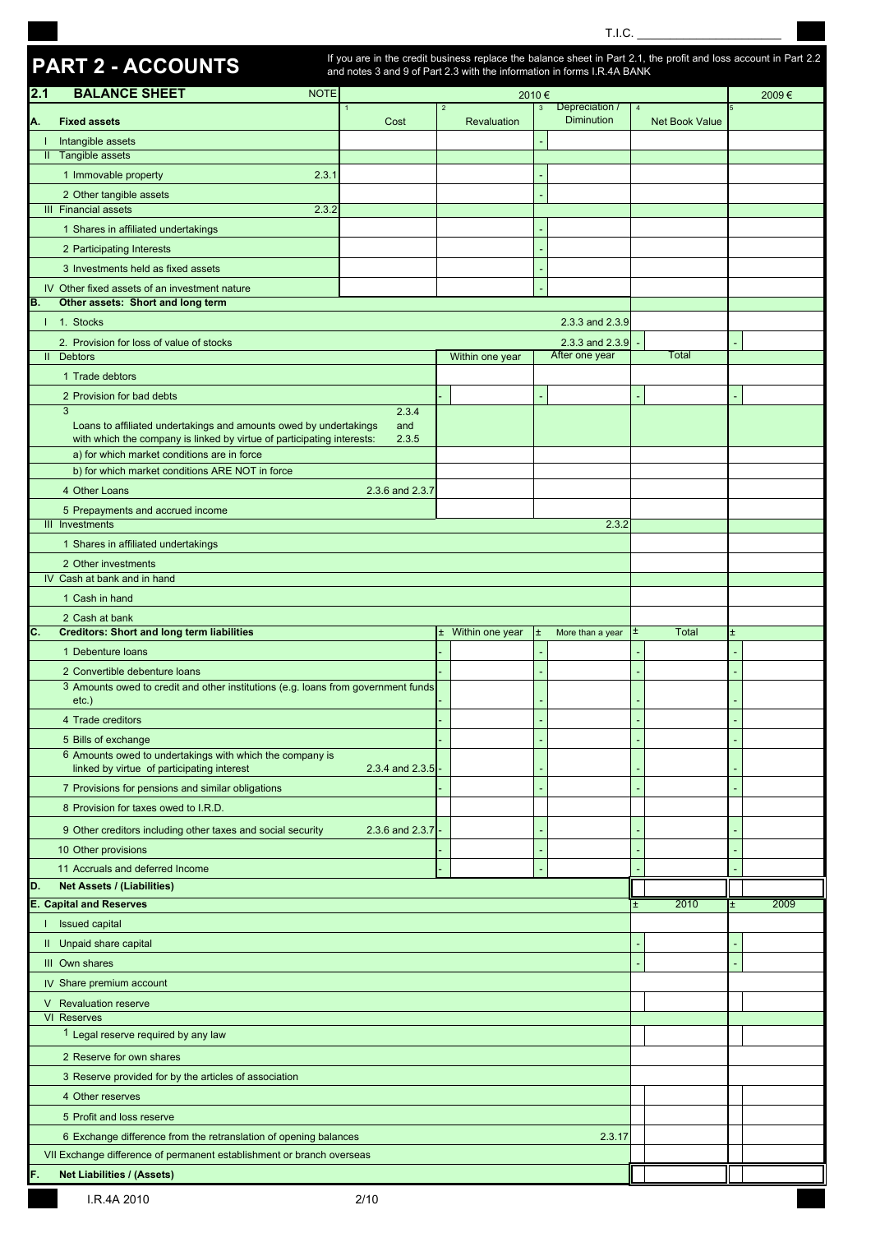T.I.C. \_\_\_\_\_\_\_\_\_\_\_\_\_\_\_\_\_\_\_\_\_\_

## **PART 2 - ACCOUNTS**

If you are in the credit business replace the balance sheet in Part 2.1, the profit and loss account in Part 2.2 and notes 3 and 9 of Part 2.3 with the information in forms I.R.4A BANK

| 2.1           | <b>BALANCE SHEET</b><br><b>NOTE</b>                                                                                                         |       | 2010€           |  |                   |                |                                     |    |                       |   | 2009€ |
|---------------|---------------------------------------------------------------------------------------------------------------------------------------------|-------|-----------------|--|-------------------|----------------|-------------------------------------|----|-----------------------|---|-------|
| Α.            | <b>Fixed assets</b>                                                                                                                         |       | Cost            |  | Revaluation       | $\overline{3}$ | Depreciation /<br><b>Diminution</b> |    | <b>Net Book Value</b> |   |       |
|               | Intangible assets                                                                                                                           |       |                 |  |                   |                |                                     |    |                       |   |       |
| H.            | Tangible assets                                                                                                                             |       |                 |  |                   |                |                                     |    |                       |   |       |
|               | 1 Immovable property                                                                                                                        | 2.3.1 |                 |  |                   |                |                                     |    |                       |   |       |
|               | 2 Other tangible assets<br><b>III</b> Financial assets                                                                                      | 2.3.2 |                 |  |                   |                |                                     |    |                       |   |       |
|               | 1 Shares in affiliated undertakings                                                                                                         |       |                 |  |                   |                |                                     |    |                       |   |       |
|               | 2 Participating Interests                                                                                                                   |       |                 |  |                   |                |                                     |    |                       |   |       |
|               | 3 Investments held as fixed assets                                                                                                          |       |                 |  |                   |                |                                     |    |                       |   |       |
|               | IV Other fixed assets of an investment nature                                                                                               |       |                 |  |                   |                |                                     |    |                       |   |       |
| В.            | Other assets: Short and long term                                                                                                           |       |                 |  |                   |                |                                     |    |                       |   |       |
|               | 1. Stocks                                                                                                                                   |       |                 |  |                   |                | 2.3.3 and 2.3.9                     |    |                       |   |       |
| $\mathbf{II}$ | 2. Provision for loss of value of stocks<br><b>Debtors</b>                                                                                  |       |                 |  | Within one year   |                | 2.3.3 and 2.3.9<br>After one year   |    | <b>Total</b>          |   |       |
|               | 1 Trade debtors                                                                                                                             |       |                 |  |                   |                |                                     |    |                       |   |       |
|               | 2 Provision for bad debts                                                                                                                   |       |                 |  |                   |                |                                     |    |                       |   |       |
|               | 3                                                                                                                                           |       | 2.3.4           |  |                   |                |                                     |    |                       |   |       |
|               | Loans to affiliated undertakings and amounts owed by undertakings<br>with which the company is linked by virtue of participating interests: |       | and<br>2.3.5    |  |                   |                |                                     |    |                       |   |       |
|               | a) for which market conditions are in force                                                                                                 |       |                 |  |                   |                |                                     |    |                       |   |       |
|               | b) for which market conditions ARE NOT in force                                                                                             |       |                 |  |                   |                |                                     |    |                       |   |       |
|               | 4 Other Loans                                                                                                                               |       | 2.3.6 and 2.3.7 |  |                   |                |                                     |    |                       |   |       |
|               | 5 Prepayments and accrued income                                                                                                            |       |                 |  |                   |                |                                     |    |                       |   |       |
|               | III Investments                                                                                                                             |       |                 |  |                   |                | 2.3.2                               |    |                       |   |       |
|               | 1 Shares in affiliated undertakings                                                                                                         |       |                 |  |                   |                |                                     |    |                       |   |       |
|               | 2 Other investments<br>IV Cash at bank and in hand                                                                                          |       |                 |  |                   |                |                                     |    |                       |   |       |
|               | 1 Cash in hand                                                                                                                              |       |                 |  |                   |                |                                     |    |                       |   |       |
|               | 2 Cash at bank                                                                                                                              |       |                 |  |                   |                |                                     |    |                       |   |       |
| С.            | <b>Creditors: Short and long term liabilities</b>                                                                                           |       |                 |  | ± Within one year | l±.            | More than a year                    | L. | Total                 | Ŧ |       |
|               | 1 Debenture loans                                                                                                                           |       |                 |  |                   |                |                                     |    |                       |   |       |
|               | 2 Convertible debenture loans<br>3 Amounts owed to credit and other institutions (e.g. loans from government funds<br>$etc.$ )              |       |                 |  |                   |                |                                     |    |                       |   |       |
|               | 4 Trade creditors                                                                                                                           |       |                 |  |                   |                |                                     |    |                       |   |       |
|               | 5 Bills of exchange                                                                                                                         |       |                 |  |                   |                |                                     |    |                       |   |       |
|               | 6 Amounts owed to undertakings with which the company is                                                                                    |       |                 |  |                   |                |                                     |    |                       |   |       |
|               | linked by virtue of participating interest                                                                                                  |       | 2.3.4 and 2.3.5 |  |                   |                |                                     |    |                       |   |       |
|               | 7 Provisions for pensions and similar obligations                                                                                           |       |                 |  |                   |                |                                     |    |                       |   |       |
|               | 8 Provision for taxes owed to I.R.D.                                                                                                        |       |                 |  |                   |                |                                     |    |                       |   |       |
|               | 9 Other creditors including other taxes and social security                                                                                 |       | 2.3.6 and 2.3.7 |  |                   |                |                                     |    |                       |   |       |
|               | 10 Other provisions                                                                                                                         |       |                 |  |                   |                |                                     |    |                       |   |       |
|               | 11 Accruals and deferred Income                                                                                                             |       |                 |  |                   |                |                                     |    |                       |   |       |
| D.            | <b>Net Assets / (Liabilities)</b><br><b>E. Capital and Reserves</b>                                                                         |       |                 |  |                   |                |                                     |    | 2010                  | Ŧ | 2009  |
|               | <b>Issued capital</b>                                                                                                                       |       |                 |  |                   |                |                                     |    |                       |   |       |
|               | Il Unpaid share capital                                                                                                                     |       |                 |  |                   |                |                                     |    |                       |   |       |
|               | III Own shares                                                                                                                              |       |                 |  |                   |                |                                     |    |                       |   |       |
|               | IV Share premium account                                                                                                                    |       |                 |  |                   |                |                                     |    |                       |   |       |
|               | V Revaluation reserve                                                                                                                       |       |                 |  |                   |                |                                     |    |                       |   |       |
|               | <b>VI Reserves</b>                                                                                                                          |       |                 |  |                   |                |                                     |    |                       |   |       |
|               | <sup>1</sup> Legal reserve required by any law                                                                                              |       |                 |  |                   |                |                                     |    |                       |   |       |
|               | 2 Reserve for own shares                                                                                                                    |       |                 |  |                   |                |                                     |    |                       |   |       |
|               | 3 Reserve provided for by the articles of association                                                                                       |       |                 |  |                   |                |                                     |    |                       |   |       |
|               | 4 Other reserves                                                                                                                            |       |                 |  |                   |                |                                     |    |                       |   |       |
|               | 5 Profit and loss reserve                                                                                                                   |       |                 |  |                   |                |                                     |    |                       |   |       |
|               | 6 Exchange difference from the retranslation of opening balances                                                                            |       |                 |  |                   |                | 2.3.17                              |    |                       |   |       |
|               | VII Exchange difference of permanent establishment or branch overseas                                                                       |       |                 |  |                   |                |                                     |    |                       |   |       |
|               | Net Liabilities / (Assets)                                                                                                                  |       |                 |  |                   |                |                                     |    |                       |   |       |
|               | I.R.4A 2010                                                                                                                                 |       | 2/10            |  |                   |                |                                     |    |                       |   |       |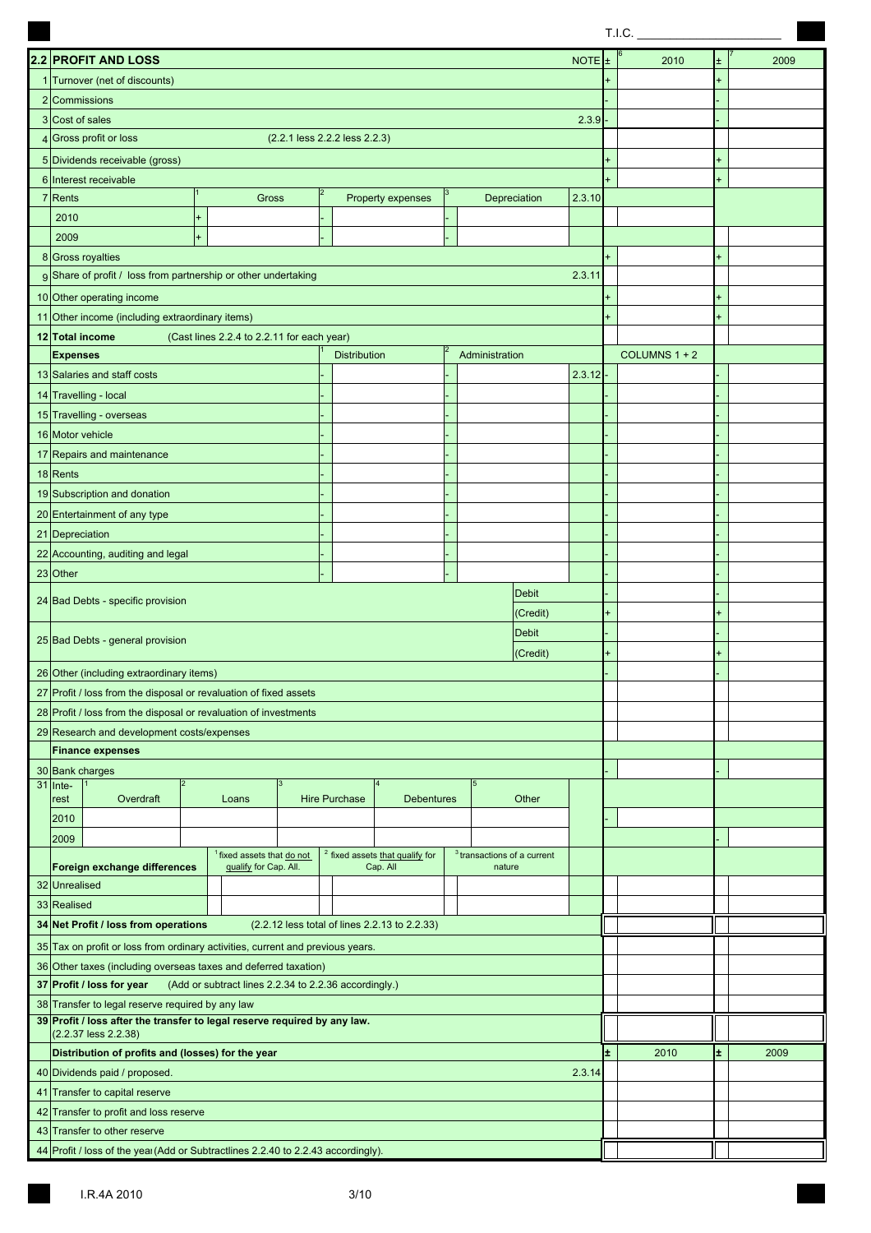|                                                                                                                                                   |                                                       |                |                      |                                               |  |                               |             |           | T.I.C.     |   |      |
|---------------------------------------------------------------------------------------------------------------------------------------------------|-------------------------------------------------------|----------------|----------------------|-----------------------------------------------|--|-------------------------------|-------------|-----------|------------|---|------|
| 2.2 PROFIT AND LOSS                                                                                                                               |                                                       |                |                      |                                               |  |                               | <b>NOTE</b> | $\pm$     | 2010       |   | 2009 |
| 1 Turnover (net of discounts)                                                                                                                     |                                                       |                |                      |                                               |  |                               |             |           |            |   |      |
| 2 Commissions                                                                                                                                     |                                                       |                |                      |                                               |  |                               |             |           |            |   |      |
| 3 Cost of sales                                                                                                                                   |                                                       |                |                      |                                               |  |                               | 2.3.9       |           |            |   |      |
| 4 Gross profit or loss                                                                                                                            | (2.2.1 less 2.2.2 less 2.2.3)                         |                |                      |                                               |  |                               |             |           |            |   |      |
| 5 Dividends receivable (gross)                                                                                                                    |                                                       |                |                      |                                               |  |                               |             |           |            |   |      |
| 6 Interest receivable                                                                                                                             |                                                       |                |                      |                                               |  |                               |             |           |            |   |      |
| 7 Rents                                                                                                                                           | Gross                                                 | $\overline{2}$ |                      | Property expenses                             |  | Depreciation                  | 2.3.10      |           |            |   |      |
| 2010                                                                                                                                              | $\ddot{}$                                             |                |                      |                                               |  |                               |             |           |            |   |      |
| 2009                                                                                                                                              | $+$                                                   |                |                      |                                               |  |                               |             |           |            |   |      |
| 8 Gross royalties                                                                                                                                 |                                                       |                |                      |                                               |  |                               |             |           |            |   |      |
| 9 Share of profit / loss from partnership or other undertaking                                                                                    |                                                       |                |                      |                                               |  |                               | 2.3.11      |           |            |   |      |
| 10 Other operating income                                                                                                                         |                                                       |                |                      |                                               |  |                               |             |           |            |   |      |
| 11 Other income (including extraordinary items)                                                                                                   |                                                       |                |                      |                                               |  |                               |             |           |            |   |      |
| 12 Total income<br>(Cast lines 2.2.4 to 2.2.11 for each year)                                                                                     |                                                       |                |                      |                                               |  |                               |             |           |            |   |      |
| <b>Expenses</b>                                                                                                                                   |                                                       |                | COLUMNS 1 + 2        |                                               |  |                               |             |           |            |   |      |
| 13 Salaries and staff costs                                                                                                                       |                                                       |                | <b>Distribution</b>  |                                               |  | Administration                | 2.3.12      |           |            |   |      |
| 14 Travelling - local                                                                                                                             |                                                       |                |                      |                                               |  |                               |             |           |            |   |      |
| 15 Travelling - overseas                                                                                                                          |                                                       |                |                      |                                               |  |                               |             |           |            |   |      |
| 16 Motor vehicle                                                                                                                                  |                                                       |                |                      |                                               |  |                               |             |           |            |   |      |
| 17 Repairs and maintenance                                                                                                                        |                                                       |                |                      |                                               |  |                               |             |           |            |   |      |
| 18 Rents                                                                                                                                          |                                                       |                |                      |                                               |  |                               |             |           |            |   |      |
| 19 Subscription and donation                                                                                                                      |                                                       |                |                      |                                               |  |                               |             |           |            |   |      |
| 20 Entertainment of any type                                                                                                                      |                                                       |                |                      |                                               |  |                               |             |           |            |   |      |
| 21 Depreciation                                                                                                                                   |                                                       |                |                      |                                               |  |                               |             |           |            |   |      |
| 22 Accounting, auditing and legal                                                                                                                 |                                                       |                |                      |                                               |  |                               |             |           |            |   |      |
| 23 Other                                                                                                                                          |                                                       |                |                      |                                               |  |                               |             |           |            |   |      |
| 24 Bad Debts - specific provision                                                                                                                 |                                                       |                |                      |                                               |  |                               |             |           |            |   |      |
|                                                                                                                                                   |                                                       |                |                      |                                               |  | (Credit)                      |             | $\ddot{}$ |            |   |      |
| 25 Bad Debts - general provision                                                                                                                  |                                                       |                |                      |                                               |  | <b>Debit</b>                  |             |           |            |   |      |
|                                                                                                                                                   |                                                       |                |                      |                                               |  | (Credit)                      |             |           |            |   |      |
| 26 Other (including extraordinary items)                                                                                                          |                                                       |                |                      |                                               |  |                               |             |           |            |   |      |
| 27 Profit / loss from the disposal or revaluation of fixed assets                                                                                 |                                                       |                |                      |                                               |  |                               |             |           |            |   |      |
| 28 Profit / loss from the disposal or revaluation of investments                                                                                  |                                                       |                |                      |                                               |  |                               |             |           |            |   |      |
| 29 Research and development costs/expenses                                                                                                        |                                                       |                |                      |                                               |  |                               |             |           |            |   |      |
| <b>Finance expenses</b>                                                                                                                           |                                                       |                |                      |                                               |  |                               |             |           |            |   |      |
| 30 Bank charges<br>$\overline{2}$                                                                                                                 |                                                       |                |                      |                                               |  | 5                             |             |           |            |   |      |
| $31$ Inte-<br>Overdraft<br>rest                                                                                                                   | Loans                                                 |                | <b>Hire Purchase</b> | <b>Debentures</b>                             |  | Other                         |             |           |            |   |      |
| 2010                                                                                                                                              |                                                       |                |                      |                                               |  |                               |             |           |            |   |      |
| 2009                                                                                                                                              |                                                       |                |                      |                                               |  |                               |             |           |            |   |      |
|                                                                                                                                                   | <sup>1</sup> fixed assets that do not                 |                |                      | $2$ fixed assets that qualify for             |  | $3$ transactions of a current |             |           |            |   |      |
| Foreign exchange differences<br>32 Unrealised                                                                                                     | qualify for Cap. All.                                 |                |                      | Cap. All                                      |  | nature                        |             |           |            |   |      |
| 33 Realised                                                                                                                                       |                                                       |                |                      |                                               |  |                               |             |           |            |   |      |
| 34 Net Profit / loss from operations                                                                                                              |                                                       |                |                      | (2.2.12 less total of lines 2.2.13 to 2.2.33) |  |                               |             |           |            |   |      |
|                                                                                                                                                   |                                                       |                |                      |                                               |  |                               |             |           |            |   |      |
| 35 Tax on profit or loss from ordinary activities, current and previous years.<br>36 Other taxes (including overseas taxes and deferred taxation) |                                                       |                |                      |                                               |  |                               |             |           |            |   |      |
| 37 Profit / loss for year                                                                                                                         | (Add or subtract lines 2.2.34 to 2.2.36 accordingly.) |                |                      |                                               |  |                               |             |           |            |   |      |
| 38 Transfer to legal reserve required by any law                                                                                                  |                                                       |                |                      |                                               |  |                               |             |           |            |   |      |
| 39 Profit / loss after the transfer to legal reserve required by any law.                                                                         |                                                       |                |                      |                                               |  |                               |             |           |            |   |      |
| (2.2.37 less 2.2.38)                                                                                                                              |                                                       |                |                      |                                               |  |                               |             |           |            |   |      |
| Distribution of profits and (losses) for the year                                                                                                 |                                                       |                |                      |                                               |  |                               |             |           | Ŧ.<br>2010 | Ŧ | 2009 |
| 40 Dividends paid / proposed.                                                                                                                     |                                                       |                |                      |                                               |  |                               | 2.3.14      |           |            |   |      |
| 41 Transfer to capital reserve                                                                                                                    |                                                       |                |                      |                                               |  |                               |             |           |            |   |      |
| 42 Transfer to profit and loss reserve                                                                                                            |                                                       |                |                      |                                               |  |                               |             |           |            |   |      |
| 43 Transfer to other reserve                                                                                                                      |                                                       |                |                      |                                               |  |                               |             |           |            |   |      |
| 44 Profit / loss of the year (Add or Subtractlines 2.2.40 to 2.2.43 accordingly).                                                                 |                                                       |                |                      |                                               |  |                               |             |           |            |   |      |

 $\overline{\phantom{a}}$ 

 $\overline{\phantom{a}}$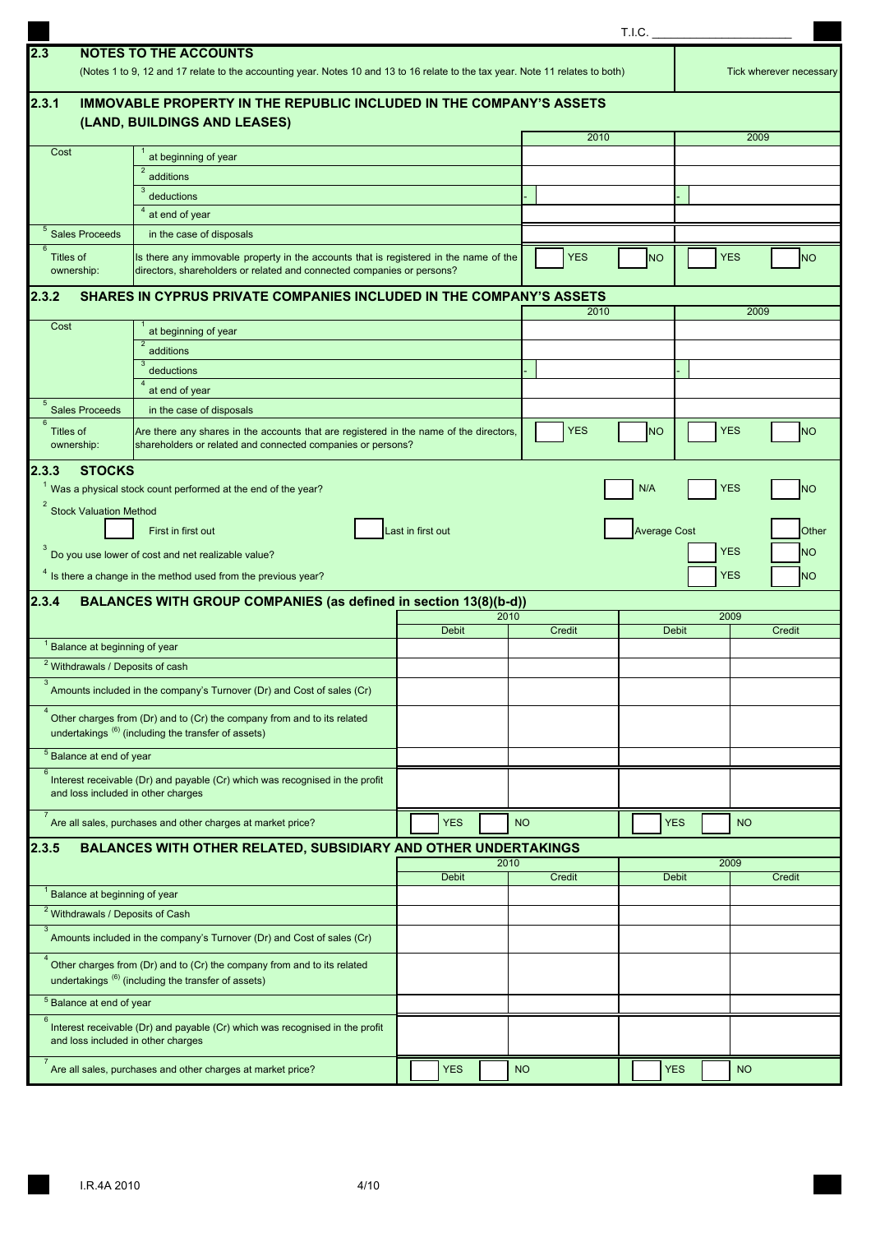|                                                                                          |                                                                                                                                                                 |                   |              |      |           |            | T.I.C.              |              |                          |                          |
|------------------------------------------------------------------------------------------|-----------------------------------------------------------------------------------------------------------------------------------------------------------------|-------------------|--------------|------|-----------|------------|---------------------|--------------|--------------------------|--------------------------|
| 2.3                                                                                      | <b>NOTES TO THE ACCOUNTS</b><br>(Notes 1 to 9, 12 and 17 relate to the accounting year. Notes 10 and 13 to 16 relate to the tax year. Note 11 relates to both)  |                   |              |      |           |            |                     |              |                          | Tick wherever necessary  |
| 2.3.1                                                                                    | IMMOVABLE PROPERTY IN THE REPUBLIC INCLUDED IN THE COMPANY'S ASSETS                                                                                             |                   |              |      |           |            |                     |              |                          |                          |
|                                                                                          | (LAND, BUILDINGS AND LEASES)                                                                                                                                    |                   |              |      |           |            |                     |              |                          |                          |
|                                                                                          |                                                                                                                                                                 |                   |              |      |           | 2010       |                     |              | 2009                     |                          |
| Cost                                                                                     | at beginning of year                                                                                                                                            |                   |              |      |           |            |                     |              |                          |                          |
|                                                                                          | $\overline{2}$<br>additions                                                                                                                                     |                   |              |      |           |            |                     |              |                          |                          |
|                                                                                          | 3<br>deductions                                                                                                                                                 |                   |              |      |           |            |                     |              |                          |                          |
|                                                                                          | at end of year                                                                                                                                                  |                   |              |      |           |            |                     |              |                          |                          |
| <sup>5</sup> Sales Proceeds                                                              | in the case of disposals                                                                                                                                        |                   |              |      |           |            |                     |              |                          |                          |
| 6<br>Titles of<br>ownership:                                                             | Is there any immovable property in the accounts that is registered in the name of the<br>directors, shareholders or related and connected companies or persons? |                   |              |      |           | <b>YES</b> | <b>NO</b>           |              | <b>YES</b>               | <b>NO</b>                |
| 2.3.2                                                                                    | SHARES IN CYPRUS PRIVATE COMPANIES INCLUDED IN THE COMPANY'S ASSETS                                                                                             |                   |              |      |           | 2010       |                     |              | 2009                     |                          |
| Cost                                                                                     | at beginning of year                                                                                                                                            |                   |              |      |           |            |                     |              |                          |                          |
|                                                                                          | $\overline{2}$<br>additions                                                                                                                                     |                   |              |      |           |            |                     |              |                          |                          |
|                                                                                          | 3<br>deductions                                                                                                                                                 |                   |              |      |           |            |                     |              |                          |                          |
|                                                                                          | at end of year                                                                                                                                                  |                   |              |      |           |            |                     |              |                          |                          |
| 5<br><b>Sales Proceeds</b>                                                               | in the case of disposals                                                                                                                                        |                   |              |      |           |            |                     |              |                          |                          |
| $6\phantom{1}$<br>Titles of                                                              | Are there any shares in the accounts that are registered in the name of the directors,                                                                          |                   |              |      |           | <b>YES</b> | <b>NO</b>           |              | <b>YES</b>               | <b>NO</b>                |
| ownership:                                                                               | shareholders or related and connected companies or persons?                                                                                                     |                   |              |      |           |            |                     |              |                          |                          |
| <b>Stock Valuation Method</b>                                                            | First in first out<br>Do you use lower of cost and net realizable value?<br>$4$ Is there a change in the method used from the previous year?                    | Last in first out |              |      |           |            | <b>Average Cost</b> |              | <b>YES</b><br><b>YES</b> | Other<br><b>NO</b><br>NΟ |
| 2.3.4                                                                                    | BALANCES WITH GROUP COMPANIES (as defined in section 13(8)(b-d))                                                                                                |                   |              |      |           |            |                     |              |                          |                          |
|                                                                                          |                                                                                                                                                                 |                   | <b>Debit</b> | 2010 |           | Credit     |                     | <b>Debit</b> | 2009                     | Credit                   |
| <sup>1</sup> Balance at beginning of year                                                |                                                                                                                                                                 |                   |              |      |           |            |                     |              |                          |                          |
| <sup>2</sup> Withdrawals / Deposits of cash                                              |                                                                                                                                                                 |                   |              |      |           |            |                     |              |                          |                          |
|                                                                                          | Amounts included in the company's Turnover (Dr) and Cost of sales (Cr)                                                                                          |                   |              |      |           |            |                     |              |                          |                          |
|                                                                                          | Other charges from (Dr) and to (Cr) the company from and to its related<br>undertakings (6) (including the transfer of assets)                                  |                   |              |      |           |            |                     |              |                          |                          |
| <sup>5</sup> Balance at end of year                                                      |                                                                                                                                                                 |                   |              |      |           |            |                     |              |                          |                          |
| 6<br>and loss included in other charges                                                  | Interest receivable (Dr) and payable (Cr) which was recognised in the profit                                                                                    |                   |              |      |           |            |                     |              |                          |                          |
| $\overline{7}$                                                                           | Are all sales, purchases and other charges at market price?                                                                                                     |                   | <b>YES</b>   |      | <b>NO</b> |            |                     | <b>YES</b>   | <b>NO</b>                |                          |
| 2.3.5                                                                                    | <b>BALANCES WITH OTHER RELATED, SUBSIDIARY AND OTHER UNDERTAKINGS</b>                                                                                           |                   |              |      |           |            |                     |              |                          |                          |
|                                                                                          |                                                                                                                                                                 |                   |              | 2010 |           |            |                     |              | 2009                     |                          |
|                                                                                          |                                                                                                                                                                 |                   | <b>Debit</b> |      |           | Credit     |                     | <b>Debit</b> |                          | Credit                   |
| <sup>1</sup> Balance at beginning of year<br><sup>2</sup> Withdrawals / Deposits of Cash |                                                                                                                                                                 |                   |              |      |           |            |                     |              |                          |                          |
| $\mathbf{3}$                                                                             | Amounts included in the company's Turnover (Dr) and Cost of sales (Cr)                                                                                          |                   |              |      |           |            |                     |              |                          |                          |
|                                                                                          | Other charges from (Dr) and to (Cr) the company from and to its related<br>undertakings <sup>(6)</sup> (including the transfer of assets)                       |                   |              |      |           |            |                     |              |                          |                          |
| <sup>5</sup> Balance at end of year                                                      |                                                                                                                                                                 |                   |              |      |           |            |                     |              |                          |                          |
| 6                                                                                        | Interest receivable (Dr) and payable (Cr) which was recognised in the profit<br>and loss included in other charges                                              |                   |              |      |           |            |                     |              |                          |                          |
|                                                                                          | Are all sales, purchases and other charges at market price?                                                                                                     |                   | <b>YES</b>   |      | <b>NO</b> |            |                     | <b>YES</b>   | <b>NO</b>                |                          |

i  $\blacksquare$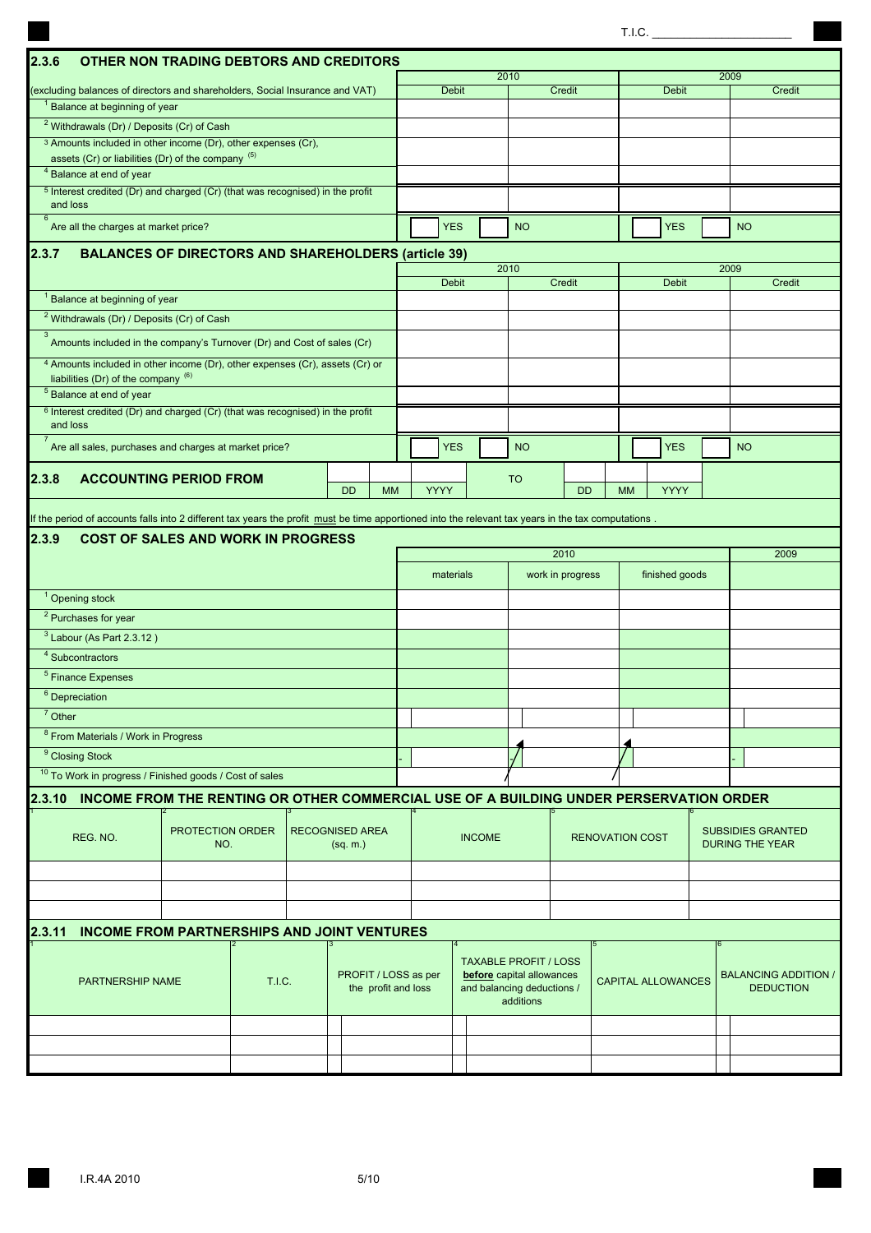|                                                                                                                                                     |                                                       |  |  |                                                                                                        |           |             |              |                           |                              |                  |                        | T.I.C.           |                |  |                             |                          |
|-----------------------------------------------------------------------------------------------------------------------------------------------------|-------------------------------------------------------|--|--|--------------------------------------------------------------------------------------------------------|-----------|-------------|--------------|---------------------------|------------------------------|------------------|------------------------|------------------|----------------|--|-----------------------------|--------------------------|
| 2.3.6<br>OTHER NON TRADING DEBTORS AND CREDITORS                                                                                                    |                                                       |  |  |                                                                                                        |           |             |              |                           |                              |                  |                        |                  |                |  |                             |                          |
| (excluding balances of directors and shareholders, Social Insurance and VAT)                                                                        |                                                       |  |  |                                                                                                        |           |             | <b>Debit</b> |                           | 2010                         | Credit           |                        |                  | <b>Debit</b>   |  | 2009                        | Credit                   |
| <sup>1</sup> Balance at beginning of year                                                                                                           |                                                       |  |  |                                                                                                        |           |             |              |                           |                              |                  |                        |                  |                |  |                             |                          |
| <sup>2</sup> Withdrawals (Dr) / Deposits (Cr) of Cash                                                                                               |                                                       |  |  |                                                                                                        |           |             |              |                           |                              |                  |                        |                  |                |  |                             |                          |
| <sup>3</sup> Amounts included in other income (Dr), other expenses (Cr),                                                                            |                                                       |  |  |                                                                                                        |           |             |              |                           |                              |                  |                        |                  |                |  |                             |                          |
| assets (Cr) or liabilities (Dr) of the company (5)<br><sup>4</sup> Balance at end of year                                                           |                                                       |  |  |                                                                                                        |           |             |              |                           |                              |                  |                        |                  |                |  |                             |                          |
| <sup>5</sup> Interest credited (Dr) and charged (Cr) (that was recognised) in the profit                                                            |                                                       |  |  |                                                                                                        |           |             |              |                           |                              |                  |                        |                  |                |  |                             |                          |
| and loss                                                                                                                                            |                                                       |  |  |                                                                                                        |           |             |              |                           |                              |                  |                        |                  |                |  |                             |                          |
| 6<br>Are all the charges at market price?                                                                                                           |                                                       |  |  |                                                                                                        |           |             | <b>YES</b>   |                           | <b>NO</b>                    |                  |                        |                  | <b>YES</b>     |  |                             | <b>NO</b>                |
| 2.3.7<br><b>BALANCES OF DIRECTORS AND SHAREHOLDERS (article 39)</b>                                                                                 |                                                       |  |  |                                                                                                        |           |             |              |                           | 2010                         |                  |                        |                  |                |  | 2009                        |                          |
|                                                                                                                                                     |                                                       |  |  |                                                                                                        |           |             | <b>Debit</b> |                           |                              | Credit           |                        |                  | <b>Debit</b>   |  |                             | Credit                   |
| <sup>1</sup> Balance at beginning of year                                                                                                           |                                                       |  |  |                                                                                                        |           |             |              |                           |                              |                  |                        |                  |                |  |                             |                          |
|                                                                                                                                                     | <sup>2</sup> Withdrawals (Dr) / Deposits (Cr) of Cash |  |  |                                                                                                        |           |             |              |                           |                              |                  |                        |                  |                |  |                             |                          |
| $\mathbf{3}$<br>Amounts included in the company's Turnover (Dr) and Cost of sales (Cr)                                                              |                                                       |  |  |                                                                                                        |           |             |              |                           |                              |                  |                        |                  |                |  |                             |                          |
| 4 Amounts included in other income (Dr), other expenses (Cr), assets (Cr) or                                                                        |                                                       |  |  |                                                                                                        |           |             |              |                           |                              |                  |                        |                  |                |  |                             |                          |
| liabilities (Dr) of the company $(6)$<br><sup>5</sup> Balance at end of year                                                                        |                                                       |  |  |                                                                                                        |           |             |              |                           |                              |                  |                        |                  |                |  |                             |                          |
| <sup>6</sup> Interest credited (Dr) and charged (Cr) (that was recognised) in the profit                                                            |                                                       |  |  |                                                                                                        |           |             |              |                           |                              |                  |                        |                  |                |  |                             |                          |
| and loss                                                                                                                                            |                                                       |  |  |                                                                                                        |           |             |              |                           |                              |                  |                        |                  |                |  |                             |                          |
| $\overline{7}$<br>Are all sales, purchases and charges at market price?                                                                             |                                                       |  |  |                                                                                                        |           |             | <b>YES</b>   |                           | <b>NO</b>                    |                  |                        |                  | <b>YES</b>     |  |                             | <b>NO</b>                |
| 2.3.8<br><b>ACCOUNTING PERIOD FROM</b>                                                                                                              |                                                       |  |  |                                                                                                        |           |             |              |                           | <b>TO</b>                    |                  |                        |                  |                |  |                             |                          |
|                                                                                                                                                     |                                                       |  |  | <b>DD</b>                                                                                              | <b>MM</b> | <b>YYYY</b> |              |                           |                              | <b>DD</b>        | <b>MM</b>              |                  | YYYY           |  |                             |                          |
| If the period of accounts falls into 2 different tax years the profit must be time apportioned into the relevant tax years in the tax computations. |                                                       |  |  |                                                                                                        |           |             |              |                           |                              |                  |                        |                  |                |  |                             |                          |
| 2.3.9<br><b>COST OF SALES AND WORK IN PROGRESS</b>                                                                                                  |                                                       |  |  |                                                                                                        |           |             |              |                           |                              |                  |                        |                  |                |  |                             |                          |
|                                                                                                                                                     |                                                       |  |  |                                                                                                        |           |             |              |                           |                              | 2010             |                        |                  |                |  |                             | 2009                     |
|                                                                                                                                                     |                                                       |  |  |                                                                                                        |           |             | materials    |                           |                              | work in progress |                        |                  | finished goods |  |                             |                          |
| <sup>1</sup> Opening stock                                                                                                                          |                                                       |  |  |                                                                                                        |           |             |              |                           |                              |                  |                        |                  |                |  |                             |                          |
| $\overline{P}$ Purchases for year                                                                                                                   |                                                       |  |  |                                                                                                        |           |             |              |                           |                              |                  |                        |                  |                |  |                             |                          |
| $3$ Labour (As Part 2.3.12)                                                                                                                         |                                                       |  |  |                                                                                                        |           |             |              |                           |                              |                  |                        |                  |                |  |                             |                          |
| <sup>4</sup> Subcontractors                                                                                                                         |                                                       |  |  |                                                                                                        |           |             |              |                           |                              |                  |                        |                  |                |  |                             |                          |
| $\overline{\phantom{a}}^5$ Finance Expenses                                                                                                         |                                                       |  |  |                                                                                                        |           |             |              |                           |                              |                  |                        |                  |                |  |                             |                          |
| $6$ Depreciation                                                                                                                                    |                                                       |  |  |                                                                                                        |           |             |              |                           |                              |                  |                        |                  |                |  |                             |                          |
| $7$ Other                                                                                                                                           |                                                       |  |  |                                                                                                        |           |             |              |                           |                              |                  |                        |                  |                |  |                             |                          |
| <sup>8</sup> From Materials / Work in Progress                                                                                                      |                                                       |  |  |                                                                                                        |           |             |              |                           |                              |                  |                        |                  |                |  |                             |                          |
| <sup>9</sup> Closing Stock                                                                                                                          |                                                       |  |  |                                                                                                        |           |             |              |                           |                              |                  |                        |                  |                |  |                             |                          |
| <sup>10</sup> To Work in progress / Finished goods / Cost of sales                                                                                  |                                                       |  |  |                                                                                                        |           |             |              |                           |                              |                  |                        |                  |                |  |                             |                          |
| INCOME FROM THE RENTING OR OTHER COMMERCIAL USE OF A BUILDING UNDER PERSERVATION ORDER<br> 2.3.10                                                   |                                                       |  |  |                                                                                                        |           |             |              |                           |                              |                  |                        |                  |                |  |                             |                          |
|                                                                                                                                                     | PROTECTION ORDER                                      |  |  | <b>RECOGNISED AREA</b>                                                                                 |           |             |              |                           |                              |                  |                        |                  |                |  |                             | <b>SUBSIDIES GRANTED</b> |
| REG. NO.                                                                                                                                            | NO.                                                   |  |  | (sq. m.)                                                                                               |           |             |              | <b>INCOME</b>             |                              |                  | <b>RENOVATION COST</b> |                  |                |  |                             | <b>DURING THE YEAR</b>   |
|                                                                                                                                                     |                                                       |  |  |                                                                                                        |           |             |              |                           |                              |                  |                        |                  |                |  |                             |                          |
|                                                                                                                                                     |                                                       |  |  |                                                                                                        |           |             |              |                           |                              |                  |                        |                  |                |  |                             |                          |
|                                                                                                                                                     |                                                       |  |  |                                                                                                        |           |             |              |                           |                              |                  |                        |                  |                |  |                             |                          |
| <b>INCOME FROM PARTNERSHIPS AND JOINT VENTURES</b><br>2.3.11                                                                                        |                                                       |  |  |                                                                                                        |           |             |              |                           |                              |                  |                        |                  |                |  |                             |                          |
|                                                                                                                                                     |                                                       |  |  |                                                                                                        |           |             |              |                           |                              |                  |                        |                  |                |  |                             |                          |
|                                                                                                                                                     |                                                       |  |  |                                                                                                        |           |             |              |                           | <b>TAXABLE PROFIT / LOSS</b> |                  |                        |                  |                |  | <b>BALANCING ADDITION /</b> |                          |
| PARTNERSHIP NAME<br><b>T.I.C.</b>                                                                                                                   |                                                       |  |  | PROFIT / LOSS as per<br>before capital allowances<br>the profit and loss<br>and balancing deductions / |           |             |              | <b>CAPITAL ALLOWANCES</b> |                              |                  |                        | <b>DEDUCTION</b> |                |  |                             |                          |
|                                                                                                                                                     |                                                       |  |  |                                                                                                        |           |             | additions    |                           |                              |                  |                        |                  |                |  |                             |                          |
|                                                                                                                                                     |                                                       |  |  |                                                                                                        |           |             |              |                           |                              |                  |                        |                  |                |  |                             |                          |
|                                                                                                                                                     |                                                       |  |  |                                                                                                        |           |             |              |                           |                              |                  |                        |                  |                |  |                             |                          |
|                                                                                                                                                     |                                                       |  |  |                                                                                                        |           |             |              |                           |                              |                  |                        |                  |                |  |                             |                          |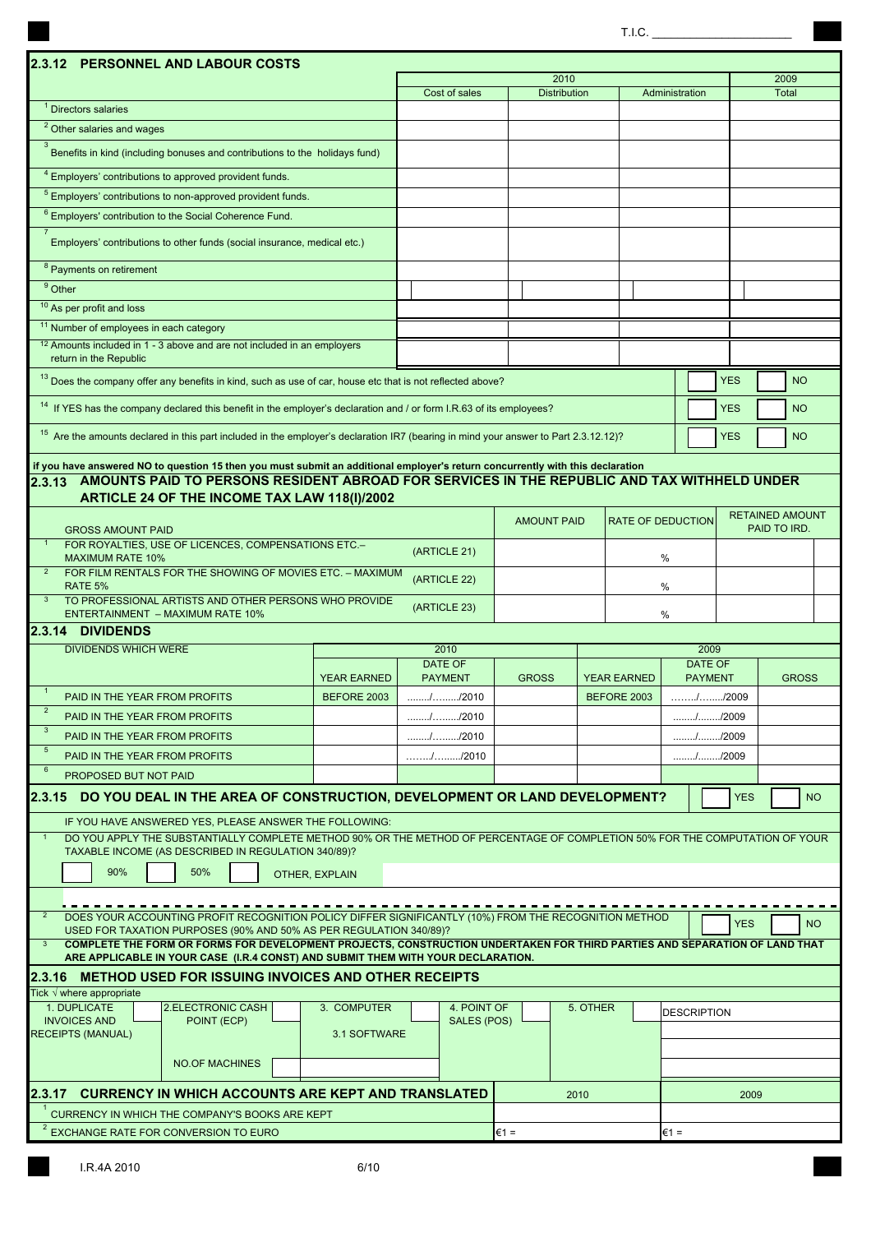$T.I.C.$ 

| 2.3.12 PERSONNEL AND LABOUR COSTS                                                                                                                                                                                                    |                    |                                                          |                     |                    |                                                          |            |                        |           |  |  |
|--------------------------------------------------------------------------------------------------------------------------------------------------------------------------------------------------------------------------------------|--------------------|----------------------------------------------------------|---------------------|--------------------|----------------------------------------------------------|------------|------------------------|-----------|--|--|
|                                                                                                                                                                                                                                      |                    |                                                          | 2010                |                    |                                                          |            | 2009                   |           |  |  |
|                                                                                                                                                                                                                                      |                    | Cost of sales                                            | <b>Distribution</b> |                    | Administration                                           |            | <b>Total</b>           |           |  |  |
| <sup>1</sup> Directors salaries                                                                                                                                                                                                      |                    |                                                          |                     |                    |                                                          |            |                        |           |  |  |
| $\overline{2}$ Other salaries and wages<br>$\mathbf{3}$                                                                                                                                                                              |                    |                                                          |                     |                    |                                                          |            |                        |           |  |  |
| Benefits in kind (including bonuses and contributions to the holidays fund)                                                                                                                                                          |                    |                                                          |                     |                    |                                                          |            |                        |           |  |  |
| <sup>4</sup> Employers' contributions to approved provident funds.                                                                                                                                                                   |                    |                                                          |                     |                    |                                                          |            |                        |           |  |  |
| <sup>5</sup> Employers' contributions to non-approved provident funds.                                                                                                                                                               |                    |                                                          |                     |                    |                                                          |            |                        |           |  |  |
| <sup>6</sup> Employers' contribution to the Social Coherence Fund.                                                                                                                                                                   |                    |                                                          |                     |                    |                                                          |            |                        |           |  |  |
| Employers' contributions to other funds (social insurance, medical etc.)                                                                                                                                                             |                    |                                                          |                     |                    |                                                          |            |                        |           |  |  |
| <sup>8</sup> Payments on retirement                                                                                                                                                                                                  |                    |                                                          |                     |                    |                                                          |            |                        |           |  |  |
| $9$ Other                                                                                                                                                                                                                            |                    |                                                          |                     |                    |                                                          |            |                        |           |  |  |
| $10$ As per profit and loss                                                                                                                                                                                                          |                    |                                                          |                     |                    |                                                          |            |                        |           |  |  |
| <sup>11</sup> Number of employees in each category<br><sup>12</sup> Amounts included in 1 - 3 above and are not included in an employers                                                                                             |                    |                                                          |                     |                    |                                                          |            |                        |           |  |  |
| return in the Republic                                                                                                                                                                                                               |                    |                                                          |                     |                    |                                                          |            |                        |           |  |  |
| <sup>13</sup> Does the company offer any benefits in kind, such as use of car, house etc that is not reflected above?                                                                                                                |                    |                                                          |                     |                    |                                                          | <b>YES</b> |                        | <b>NO</b> |  |  |
| <sup>14</sup> If YES has the company declared this benefit in the employer's declaration and / or form I.R.63 of its employees?                                                                                                      |                    |                                                          |                     |                    |                                                          | <b>YES</b> |                        | <b>NO</b> |  |  |
| <sup>15</sup> Are the amounts declared in this part included in the employer's declaration IR7 (bearing in mind your answer to Part 2.3.12.12)?                                                                                      |                    |                                                          |                     |                    |                                                          | <b>YES</b> |                        | <b>NO</b> |  |  |
|                                                                                                                                                                                                                                      |                    |                                                          |                     |                    |                                                          |            |                        |           |  |  |
| if you have answered NO to question 15 then you must submit an additional employer's return concurrently with this declaration<br>2.3.13 AMOUNTS PAID TO PERSONS RESIDENT ABROAD FOR SERVICES IN THE REPUBLIC AND TAX WITHHELD UNDER |                    |                                                          |                     |                    |                                                          |            |                        |           |  |  |
| ARTICLE 24 OF THE INCOME TAX LAW 118(I)/2002                                                                                                                                                                                         |                    |                                                          |                     |                    |                                                          |            |                        |           |  |  |
|                                                                                                                                                                                                                                      |                    |                                                          | <b>AMOUNT PAID</b>  |                    | <b>RATE OF DEDUCTION</b>                                 |            | <b>RETAINED AMOUNT</b> |           |  |  |
| <b>GROSS AMOUNT PAID</b>                                                                                                                                                                                                             |                    |                                                          |                     |                    |                                                          |            | PAID TO IRD.           |           |  |  |
| FOR ROYALTIES, USE OF LICENCES, COMPENSATIONS ETC.-<br><b>MAXIMUM RATE 10%</b>                                                                                                                                                       |                    | (ARTICLE 21)                                             |                     |                    | %                                                        |            |                        |           |  |  |
| $\overline{2}$<br>FOR FILM RENTALS FOR THE SHOWING OF MOVIES ETC. - MAXIMUM                                                                                                                                                          |                    | (ARTICLE 22)                                             |                     |                    |                                                          |            |                        |           |  |  |
| RATE 5%<br>TO PROFESSIONAL ARTISTS AND OTHER PERSONS WHO PROVIDE                                                                                                                                                                     |                    |                                                          |                     |                    | %                                                        |            |                        |           |  |  |
| <b>ENTERTAINMENT - MAXIMUM RATE 10%</b>                                                                                                                                                                                              |                    | (ARTICLE 23)                                             |                     |                    | %                                                        |            |                        |           |  |  |
| 2.3.14 DIVIDENDS                                                                                                                                                                                                                     |                    |                                                          |                     |                    |                                                          |            |                        |           |  |  |
| <b>DIVIDENDS WHICH WERE</b>                                                                                                                                                                                                          |                    | 2010                                                     |                     |                    | 2009                                                     |            |                        |           |  |  |
|                                                                                                                                                                                                                                      | <b>YEAR EARNED</b> | DATE OF<br><b>PAYMENT</b>                                | <b>GROSS</b>        | <b>YEAR EARNED</b> | <b>DATE OF</b><br><b>PAYMENT</b>                         |            | <b>GROSS</b>           |           |  |  |
| PAID IN THE YEAR FROM PROFITS                                                                                                                                                                                                        | BEFORE 2003        | //2010                                                   |                     | BEFORE 2003        |                                                          | //2009     |                        |           |  |  |
| $\overline{2}$<br>PAID IN THE YEAR FROM PROFITS                                                                                                                                                                                      |                    | //2010                                                   |                     |                    | //2009                                                   |            |                        |           |  |  |
| $\mathbf{3}$<br>PAID IN THE YEAR FROM PROFITS                                                                                                                                                                                        |                    | $$ /2010                                                 |                     |                    | //2009                                                   |            |                        |           |  |  |
| $\sqrt{5}$<br>PAID IN THE YEAR FROM PROFITS                                                                                                                                                                                          |                    | $\ldots \ldots \ldots \ldots \ldots \ldots \ldots$ /2010 |                     |                    | $\ldots \ldots \ldots \ldots \ldots \ldots \ldots$ /2009 |            |                        |           |  |  |
| 6<br>PROPOSED BUT NOT PAID                                                                                                                                                                                                           |                    |                                                          |                     |                    |                                                          |            |                        |           |  |  |
| 2.3.15 DO YOU DEAL IN THE AREA OF CONSTRUCTION, DEVELOPMENT OR LAND DEVELOPMENT?                                                                                                                                                     |                    |                                                          |                     |                    |                                                          | <b>YES</b> |                        | <b>NO</b> |  |  |
| IF YOU HAVE ANSWERED YES, PLEASE ANSWER THE FOLLOWING:                                                                                                                                                                               |                    |                                                          |                     |                    |                                                          |            |                        |           |  |  |
| DO YOU APPLY THE SUBSTANTIALLY COMPLETE METHOD 90% OR THE METHOD OF PERCENTAGE OF COMPLETION 50% FOR THE COMPUTATION OF YOUR                                                                                                         |                    |                                                          |                     |                    |                                                          |            |                        |           |  |  |
| TAXABLE INCOME (AS DESCRIBED IN REGULATION 340/89)?                                                                                                                                                                                  |                    |                                                          |                     |                    |                                                          |            |                        |           |  |  |
| 90%<br>50%                                                                                                                                                                                                                           | OTHER, EXPLAIN     |                                                          |                     |                    |                                                          |            |                        |           |  |  |
|                                                                                                                                                                                                                                      |                    |                                                          |                     |                    |                                                          |            |                        |           |  |  |
| DOES YOUR ACCOUNTING PROFIT RECOGNITION POLICY DIFFER SIGNIFICANTLY (10%) FROM THE RECOGNITION METHOD                                                                                                                                |                    |                                                          |                     |                    |                                                          | <b>YES</b> |                        | <b>NO</b> |  |  |
| USED FOR TAXATION PURPOSES (90% AND 50% AS PER REGULATION 340/89)?<br>COMPLETE THE FORM OR FORMS FOR DEVELOPMENT PROJECTS, CONSTRUCTION UNDERTAKEN FOR THIRD PARTIES AND SEPARATION OF LAND THAT<br>$\mathbf{3}$                     |                    |                                                          |                     |                    |                                                          |            |                        |           |  |  |
| ARE APPLICABLE IN YOUR CASE (I.R.4 CONST) AND SUBMIT THEM WITH YOUR DECLARATION.                                                                                                                                                     |                    |                                                          |                     |                    |                                                          |            |                        |           |  |  |
| I2.3.16 METHOD USED FOR ISSUING INVOICES AND OTHER RECEIPTS                                                                                                                                                                          |                    |                                                          |                     |                    |                                                          |            |                        |           |  |  |
| Tick $\sqrt{}$ where appropriate<br>1. DUPLICATE<br>2.ELECTRONIC CASH                                                                                                                                                                | 3. COMPUTER        | 4. POINT OF                                              |                     | 5. OTHER           |                                                          |            |                        |           |  |  |
| <b>INVOICES AND</b><br>POINT (ECP)                                                                                                                                                                                                   |                    | SALES (POS)                                              |                     |                    | <b>DESCRIPTION</b>                                       |            |                        |           |  |  |
| <b>RECEIPTS (MANUAL)</b>                                                                                                                                                                                                             | 3.1 SOFTWARE       |                                                          |                     |                    |                                                          |            |                        |           |  |  |
| <b>NO.OF MACHINES</b>                                                                                                                                                                                                                |                    |                                                          |                     |                    |                                                          |            |                        |           |  |  |
|                                                                                                                                                                                                                                      |                    |                                                          |                     |                    |                                                          |            |                        |           |  |  |
| <b>CURRENCY IN WHICH ACCOUNTS ARE KEPT AND TRANSLATED</b><br>l2.3.17                                                                                                                                                                 |                    |                                                          |                     | 2010               |                                                          | 2009       |                        |           |  |  |
| CURRENCY IN WHICH THE COMPANY'S BOOKS ARE KEPT                                                                                                                                                                                       |                    |                                                          |                     |                    |                                                          |            |                        |           |  |  |
| EXCHANGE RATE FOR CONVERSION TO EURO                                                                                                                                                                                                 |                    |                                                          | $€1 =$              |                    | €1 =                                                     |            |                        |           |  |  |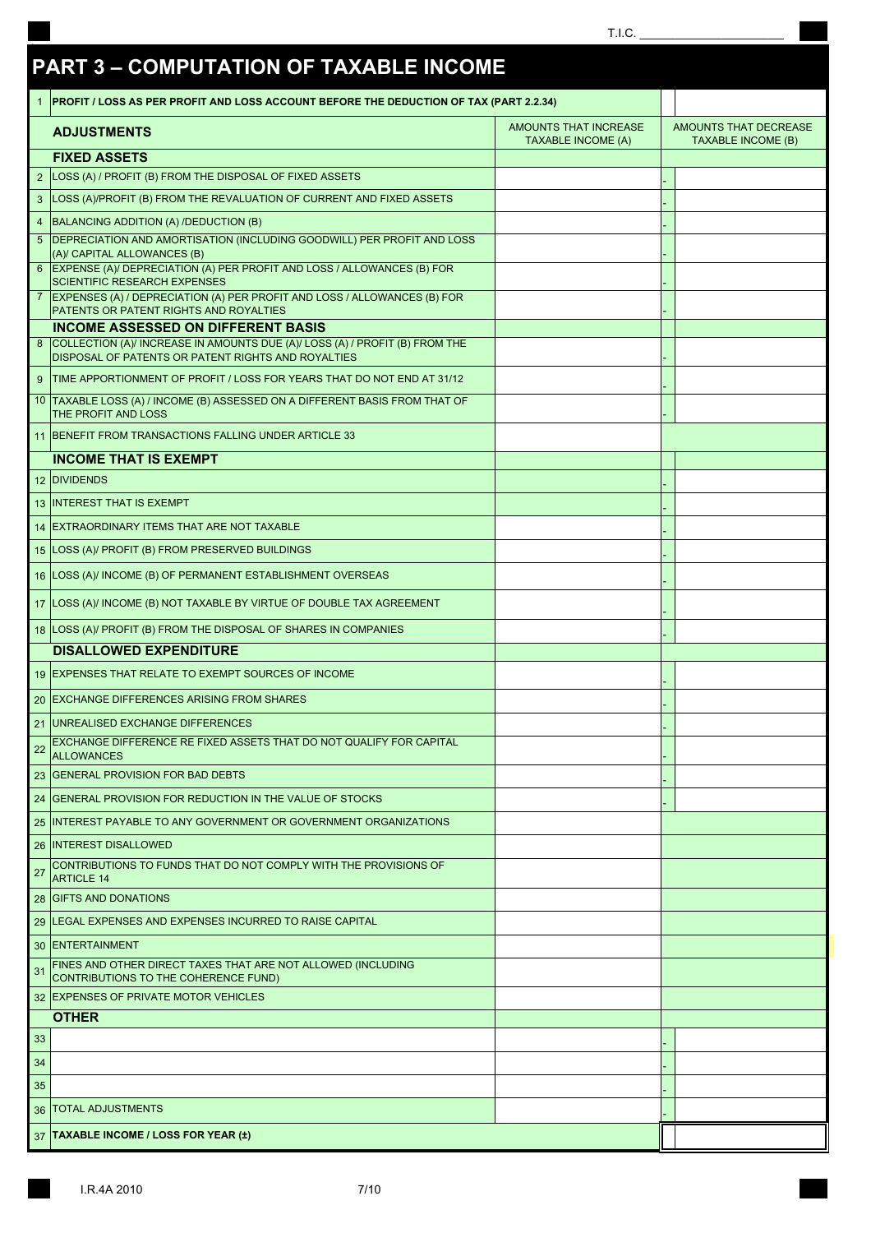|                |                                                                                                                                               | T.I.C.                                             |                                             |
|----------------|-----------------------------------------------------------------------------------------------------------------------------------------------|----------------------------------------------------|---------------------------------------------|
|                | <b>PART 3 - COMPUTATION OF TAXABLE INCOME</b>                                                                                                 |                                                    |                                             |
|                | 1 PROFIT / LOSS AS PER PROFIT AND LOSS ACCOUNT BEFORE THE DEDUCTION OF TAX (PART 2.2.34)                                                      |                                                    |                                             |
|                | <b>ADJUSTMENTS</b>                                                                                                                            | AMOUNTS THAT INCREASE<br><b>TAXABLE INCOME (A)</b> | AMOUNTS THAT DECREASE<br>TAXABLE INCOME (B) |
|                | <b>FIXED ASSETS</b>                                                                                                                           |                                                    |                                             |
| $\overline{2}$ | LOSS (A) / PROFIT (B) FROM THE DISPOSAL OF FIXED ASSETS                                                                                       |                                                    |                                             |
| 3              | LOSS (A)/PROFIT (B) FROM THE REVALUATION OF CURRENT AND FIXED ASSETS                                                                          |                                                    |                                             |
|                | 4   BALANCING ADDITION (A) / DEDUCTION (B)                                                                                                    |                                                    |                                             |
|                | 5   DEPRECIATION AND AMORTISATION (INCLUDING GOODWILL) PER PROFIT AND LOSS<br>(A)/ CAPITAL ALLOWANCES (B)                                     |                                                    |                                             |
|                | 6 EXPENSE (A)/ DEPRECIATION (A) PER PROFIT AND LOSS / ALLOWANCES (B) FOR<br><b>SCIENTIFIC RESEARCH EXPENSES</b>                               |                                                    |                                             |
|                | 7 EXPENSES (A) / DEPRECIATION (A) PER PROFIT AND LOSS / ALLOWANCES (B) FOR                                                                    |                                                    |                                             |
|                | PATENTS OR PATENT RIGHTS AND ROYALTIES<br><b>INCOME ASSESSED ON DIFFERENT BASIS</b>                                                           |                                                    |                                             |
|                | 8 COLLECTION (A)/ INCREASE IN AMOUNTS DUE (A)/ LOSS (A) / PROFIT (B) FROM THE                                                                 |                                                    |                                             |
|                | DISPOSAL OF PATENTS OR PATENT RIGHTS AND ROYALTIES                                                                                            |                                                    |                                             |
|                | 9 TIME APPORTIONMENT OF PROFIT / LOSS FOR YEARS THAT DO NOT END AT 31/12                                                                      |                                                    |                                             |
|                | 10 TAXABLE LOSS (A) / INCOME (B) ASSESSED ON A DIFFERENT BASIS FROM THAT OF<br>THE PROFIT AND LOSS                                            |                                                    |                                             |
|                | 11 BENEFIT FROM TRANSACTIONS FALLING UNDER ARTICLE 33                                                                                         |                                                    |                                             |
|                | <b>INCOME THAT IS EXEMPT</b>                                                                                                                  |                                                    |                                             |
|                | 12 DIVIDENDS                                                                                                                                  |                                                    |                                             |
|                | 13 INTEREST THAT IS EXEMPT                                                                                                                    |                                                    |                                             |
|                | 14 EXTRAORDINARY ITEMS THAT ARE NOT TAXABLE                                                                                                   |                                                    |                                             |
|                | 15 LOSS (A)/ PROFIT (B) FROM PRESERVED BUILDINGS                                                                                              |                                                    |                                             |
|                | 16 LOSS (A)/ INCOME (B) OF PERMANENT ESTABLISHMENT OVERSEAS                                                                                   |                                                    |                                             |
|                | 17 LOSS (A)/ INCOME (B) NOT TAXABLE BY VIRTUE OF DOUBLE TAX AGREEMENT                                                                         |                                                    |                                             |
|                | 18 LOSS (A)/ PROFIT (B) FROM THE DISPOSAL OF SHARES IN COMPANIES                                                                              |                                                    |                                             |
|                | <b>DISALLOWED EXPENDITURE</b>                                                                                                                 |                                                    |                                             |
|                | 19 EXPENSES THAT RELATE TO EXEMPT SOURCES OF INCOME                                                                                           |                                                    |                                             |
|                | 20 EXCHANGE DIFFERENCES ARISING FROM SHARES                                                                                                   |                                                    |                                             |
|                | 21   UNREALISED EXCHANGE DIFFERENCES                                                                                                          |                                                    |                                             |
| 22             | EXCHANGE DIFFERENCE RE FIXED ASSETS THAT DO NOT QUALIFY FOR CAPITAL<br><b>ALLOWANCES</b>                                                      |                                                    |                                             |
|                | 23 GENERAL PROVISION FOR BAD DEBTS                                                                                                            |                                                    |                                             |
|                | 24 GENERAL PROVISION FOR REDUCTION IN THE VALUE OF STOCKS                                                                                     |                                                    |                                             |
|                | 25 INTEREST PAYABLE TO ANY GOVERNMENT OR GOVERNMENT ORGANIZATIONS                                                                             |                                                    |                                             |
|                | 26 INTEREST DISALLOWED                                                                                                                        |                                                    |                                             |
|                | CONTRIBUTIONS TO FUNDS THAT DO NOT COMPLY WITH THE PROVISIONS OF                                                                              |                                                    |                                             |
|                | <b>ARTICLE 14</b><br>28 GIFTS AND DONATIONS                                                                                                   |                                                    |                                             |
|                |                                                                                                                                               |                                                    |                                             |
|                | 29 ILEGAL EXPENSES AND EXPENSES INCURRED TO RAISE CAPITAL                                                                                     |                                                    |                                             |
|                | 30 ENTERTAINMENT                                                                                                                              |                                                    |                                             |
| 31             | FINES AND OTHER DIRECT TAXES THAT ARE NOT ALLOWED (INCLUDING<br>CONTRIBUTIONS TO THE COHERENCE FUND)<br>32 EXPENSES OF PRIVATE MOTOR VEHICLES |                                                    |                                             |
|                | <b>OTHER</b>                                                                                                                                  |                                                    |                                             |
| 33             |                                                                                                                                               |                                                    |                                             |
|                |                                                                                                                                               |                                                    |                                             |
| 34             |                                                                                                                                               |                                                    |                                             |
| 35             |                                                                                                                                               |                                                    |                                             |
|                | 36   TOTAL ADJUSTMENTS                                                                                                                        |                                                    |                                             |
|                | 37   TAXABLE INCOME / LOSS FOR YEAR (±)                                                                                                       |                                                    |                                             |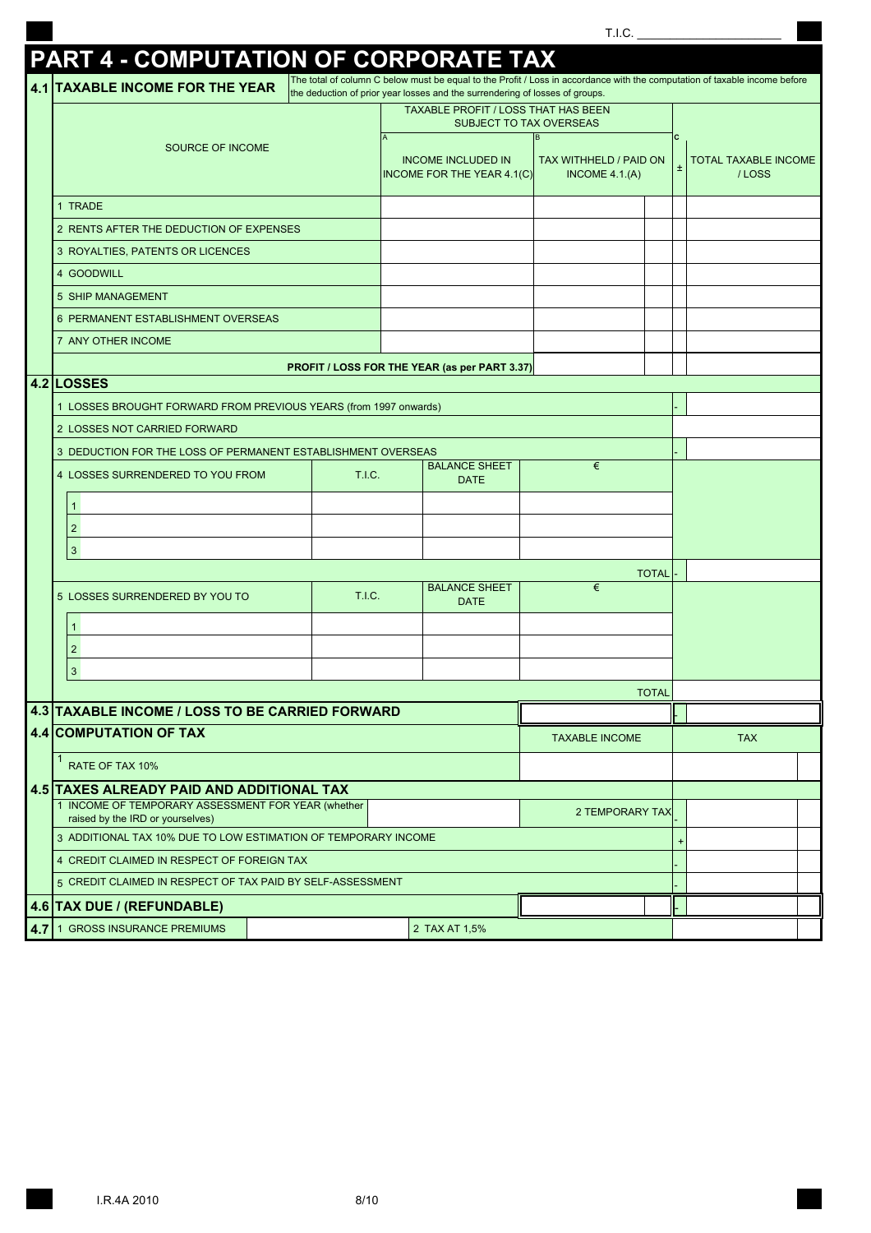| <b>TIA</b> | 1.1.0.<br>_____ |  |  |  |  |
|------------|-----------------|--|--|--|--|
|            |                 |  |  |  |  |

|     | <b>PART 4 - COMPUTATION OF CORPORATE TAX</b>                                                                                        |               |                        |                                                                                                      |   |                       |              |  |                                                                                                                            |
|-----|-------------------------------------------------------------------------------------------------------------------------------------|---------------|------------------------|------------------------------------------------------------------------------------------------------|---|-----------------------|--------------|--|----------------------------------------------------------------------------------------------------------------------------|
|     | 4.1 TAXABLE INCOME FOR THE YEAR                                                                                                     |               |                        | the deduction of prior year losses and the surrendering of losses of groups.                         |   |                       |              |  | The total of column C below must be equal to the Profit / Loss in accordance with the computation of taxable income before |
|     |                                                                                                                                     |               |                        | TAXABLE PROFIT / LOSS THAT HAS BEEN<br><b>SUBJECT TO TAX OVERSEAS</b>                                | B |                       |              |  |                                                                                                                            |
|     | SOURCE OF INCOME                                                                                                                    |               |                        | <b>INCOME INCLUDED IN</b><br>TAX WITHHELD / PAID ON<br>INCOME FOR THE YEAR 4.1(C)<br>INCOME $4.1(A)$ |   |                       |              |  | <b>TOTAL TAXABLE INCOME</b><br>/LOSS                                                                                       |
|     | 1 TRADE                                                                                                                             |               |                        |                                                                                                      |   |                       |              |  |                                                                                                                            |
|     | 2 RENTS AFTER THE DEDUCTION OF EXPENSES                                                                                             |               |                        |                                                                                                      |   |                       |              |  |                                                                                                                            |
|     | 3 ROYALTIES, PATENTS OR LICENCES                                                                                                    |               |                        |                                                                                                      |   |                       |              |  |                                                                                                                            |
|     | 4 GOODWILL                                                                                                                          |               |                        |                                                                                                      |   |                       |              |  |                                                                                                                            |
|     | <b>5 SHIP MANAGEMENT</b>                                                                                                            |               |                        |                                                                                                      |   |                       |              |  |                                                                                                                            |
|     | 6 PERMANENT ESTABLISHMENT OVERSEAS                                                                                                  |               |                        |                                                                                                      |   |                       |              |  |                                                                                                                            |
|     | 7 ANY OTHER INCOME                                                                                                                  |               |                        |                                                                                                      |   |                       |              |  |                                                                                                                            |
|     |                                                                                                                                     |               |                        | PROFIT / LOSS FOR THE YEAR (as per PART 3.37)                                                        |   |                       |              |  |                                                                                                                            |
|     | 4.2 LOSSES                                                                                                                          |               |                        |                                                                                                      |   |                       |              |  |                                                                                                                            |
|     | 1 LOSSES BROUGHT FORWARD FROM PREVIOUS YEARS (from 1997 onwards)                                                                    |               |                        |                                                                                                      |   |                       |              |  |                                                                                                                            |
|     | 2 LOSSES NOT CARRIED FORWARD                                                                                                        |               |                        |                                                                                                      |   |                       |              |  |                                                                                                                            |
|     | 3 DEDUCTION FOR THE LOSS OF PERMANENT ESTABLISHMENT OVERSEAS                                                                        |               |                        |                                                                                                      |   |                       |              |  |                                                                                                                            |
|     | 4 LOSSES SURRENDERED TO YOU FROM                                                                                                    | T.I.C.        |                        | <b>BALANCE SHEET</b><br><b>DATE</b>                                                                  |   |                       |              |  |                                                                                                                            |
|     | $\mathbf{1}$<br>$\overline{c}$                                                                                                      |               |                        |                                                                                                      |   |                       |              |  |                                                                                                                            |
|     | $\sqrt{3}$                                                                                                                          |               |                        |                                                                                                      |   |                       |              |  |                                                                                                                            |
|     |                                                                                                                                     |               |                        |                                                                                                      |   |                       | <b>TOTAL</b> |  |                                                                                                                            |
|     | 5 LOSSES SURRENDERED BY YOU TO                                                                                                      | <b>T.I.C.</b> |                        | <b>BALANCE SHEET</b><br><b>DATE</b>                                                                  |   | €                     |              |  |                                                                                                                            |
|     | 1                                                                                                                                   |               |                        |                                                                                                      |   |                       |              |  |                                                                                                                            |
|     | $\overline{c}$                                                                                                                      |               |                        |                                                                                                      |   |                       |              |  |                                                                                                                            |
|     | 3                                                                                                                                   |               |                        |                                                                                                      |   |                       |              |  |                                                                                                                            |
|     |                                                                                                                                     |               |                        |                                                                                                      |   |                       | <b>TOTAL</b> |  |                                                                                                                            |
|     | 4.3 TAXABLE INCOME / LOSS TO BE CARRIED FORWARD                                                                                     |               |                        |                                                                                                      |   |                       |              |  |                                                                                                                            |
|     | <b>4.4 COMPUTATION OF TAX</b>                                                                                                       |               |                        |                                                                                                      |   | <b>TAXABLE INCOME</b> |              |  | <b>TAX</b>                                                                                                                 |
|     | RATE OF TAX 10%                                                                                                                     |               |                        |                                                                                                      |   |                       |              |  |                                                                                                                            |
|     | 4.5 TAXES ALREADY PAID AND ADDITIONAL TAX<br>1 INCOME OF TEMPORARY ASSESSMENT FOR YEAR (whether<br>raised by the IRD or yourselves) |               | <b>2 TEMPORARY TAX</b> |                                                                                                      |   |                       |              |  |                                                                                                                            |
|     | 3 ADDITIONAL TAX 10% DUE TO LOW ESTIMATION OF TEMPORARY INCOME                                                                      |               |                        |                                                                                                      |   |                       |              |  |                                                                                                                            |
|     | 4 CREDIT CLAIMED IN RESPECT OF FOREIGN TAX                                                                                          |               |                        |                                                                                                      |   |                       |              |  |                                                                                                                            |
|     | 5 CREDIT CLAIMED IN RESPECT OF TAX PAID BY SELF-ASSESSMENT                                                                          |               |                        |                                                                                                      |   |                       |              |  |                                                                                                                            |
|     | 4.6 TAX DUE / (REFUNDABLE)                                                                                                          |               |                        |                                                                                                      |   |                       |              |  |                                                                                                                            |
| 4.7 | 1 GROSS INSURANCE PREMIUMS                                                                                                          |               |                        | 2 TAX AT 1,5%                                                                                        |   |                       |              |  |                                                                                                                            |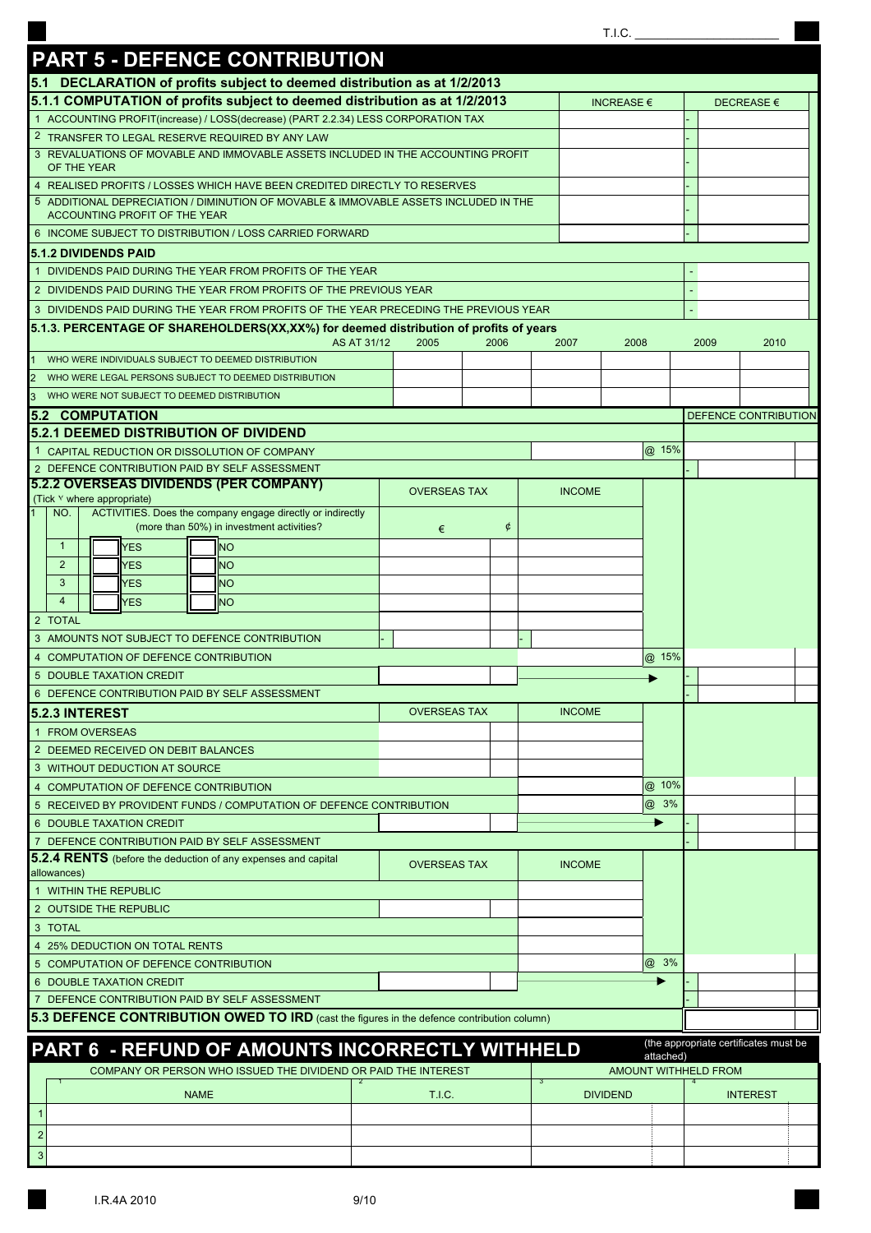|                                                                                       |                            |                                                                                                                                                                                                                                                                                                                                                                                                                                                                         | T.I.C.                                                                                                                                                                                                                                                                                                                                                                                                                            |                                                 |                                   |                                                                                                                                              |  |  |  |
|---------------------------------------------------------------------------------------|----------------------------|-------------------------------------------------------------------------------------------------------------------------------------------------------------------------------------------------------------------------------------------------------------------------------------------------------------------------------------------------------------------------------------------------------------------------------------------------------------------------|-----------------------------------------------------------------------------------------------------------------------------------------------------------------------------------------------------------------------------------------------------------------------------------------------------------------------------------------------------------------------------------------------------------------------------------|-------------------------------------------------|-----------------------------------|----------------------------------------------------------------------------------------------------------------------------------------------|--|--|--|
| <b>PART 5 - DEFENCE CONTRIBUTION</b>                                                  |                            |                                                                                                                                                                                                                                                                                                                                                                                                                                                                         |                                                                                                                                                                                                                                                                                                                                                                                                                                   |                                                 |                                   |                                                                                                                                              |  |  |  |
|                                                                                       |                            |                                                                                                                                                                                                                                                                                                                                                                                                                                                                         |                                                                                                                                                                                                                                                                                                                                                                                                                                   |                                                 |                                   |                                                                                                                                              |  |  |  |
|                                                                                       |                            |                                                                                                                                                                                                                                                                                                                                                                                                                                                                         |                                                                                                                                                                                                                                                                                                                                                                                                                                   |                                                 |                                   | DECREASE €                                                                                                                                   |  |  |  |
|                                                                                       |                            |                                                                                                                                                                                                                                                                                                                                                                                                                                                                         |                                                                                                                                                                                                                                                                                                                                                                                                                                   |                                                 |                                   |                                                                                                                                              |  |  |  |
|                                                                                       |                            |                                                                                                                                                                                                                                                                                                                                                                                                                                                                         |                                                                                                                                                                                                                                                                                                                                                                                                                                   |                                                 |                                   |                                                                                                                                              |  |  |  |
|                                                                                       |                            |                                                                                                                                                                                                                                                                                                                                                                                                                                                                         |                                                                                                                                                                                                                                                                                                                                                                                                                                   |                                                 |                                   |                                                                                                                                              |  |  |  |
|                                                                                       |                            |                                                                                                                                                                                                                                                                                                                                                                                                                                                                         |                                                                                                                                                                                                                                                                                                                                                                                                                                   |                                                 |                                   |                                                                                                                                              |  |  |  |
|                                                                                       |                            |                                                                                                                                                                                                                                                                                                                                                                                                                                                                         |                                                                                                                                                                                                                                                                                                                                                                                                                                   |                                                 |                                   |                                                                                                                                              |  |  |  |
|                                                                                       |                            |                                                                                                                                                                                                                                                                                                                                                                                                                                                                         |                                                                                                                                                                                                                                                                                                                                                                                                                                   |                                                 |                                   |                                                                                                                                              |  |  |  |
|                                                                                       |                            |                                                                                                                                                                                                                                                                                                                                                                                                                                                                         |                                                                                                                                                                                                                                                                                                                                                                                                                                   |                                                 |                                   |                                                                                                                                              |  |  |  |
|                                                                                       |                            |                                                                                                                                                                                                                                                                                                                                                                                                                                                                         |                                                                                                                                                                                                                                                                                                                                                                                                                                   |                                                 |                                   |                                                                                                                                              |  |  |  |
|                                                                                       |                            |                                                                                                                                                                                                                                                                                                                                                                                                                                                                         |                                                                                                                                                                                                                                                                                                                                                                                                                                   |                                                 |                                   |                                                                                                                                              |  |  |  |
|                                                                                       |                            |                                                                                                                                                                                                                                                                                                                                                                                                                                                                         |                                                                                                                                                                                                                                                                                                                                                                                                                                   |                                                 |                                   |                                                                                                                                              |  |  |  |
| 2 DIVIDENDS PAID DURING THE YEAR FROM PROFITS OF THE PREVIOUS YEAR                    |                            |                                                                                                                                                                                                                                                                                                                                                                                                                                                                         |                                                                                                                                                                                                                                                                                                                                                                                                                                   |                                                 |                                   |                                                                                                                                              |  |  |  |
| 3 DIVIDENDS PAID DURING THE YEAR FROM PROFITS OF THE YEAR PRECEDING THE PREVIOUS YEAR |                            |                                                                                                                                                                                                                                                                                                                                                                                                                                                                         |                                                                                                                                                                                                                                                                                                                                                                                                                                   |                                                 |                                   |                                                                                                                                              |  |  |  |
|                                                                                       |                            |                                                                                                                                                                                                                                                                                                                                                                                                                                                                         |                                                                                                                                                                                                                                                                                                                                                                                                                                   |                                                 |                                   |                                                                                                                                              |  |  |  |
|                                                                                       |                            |                                                                                                                                                                                                                                                                                                                                                                                                                                                                         |                                                                                                                                                                                                                                                                                                                                                                                                                                   |                                                 |                                   | 2010                                                                                                                                         |  |  |  |
|                                                                                       |                            |                                                                                                                                                                                                                                                                                                                                                                                                                                                                         |                                                                                                                                                                                                                                                                                                                                                                                                                                   |                                                 |                                   |                                                                                                                                              |  |  |  |
|                                                                                       |                            |                                                                                                                                                                                                                                                                                                                                                                                                                                                                         |                                                                                                                                                                                                                                                                                                                                                                                                                                   |                                                 |                                   |                                                                                                                                              |  |  |  |
|                                                                                       |                            |                                                                                                                                                                                                                                                                                                                                                                                                                                                                         |                                                                                                                                                                                                                                                                                                                                                                                                                                   |                                                 |                                   |                                                                                                                                              |  |  |  |
| <b>5.2 COMPUTATION</b><br><b>5.2.1 DEEMED DISTRIBUTION OF DIVIDEND</b>                |                            |                                                                                                                                                                                                                                                                                                                                                                                                                                                                         |                                                                                                                                                                                                                                                                                                                                                                                                                                   |                                                 |                                   |                                                                                                                                              |  |  |  |
|                                                                                       |                            |                                                                                                                                                                                                                                                                                                                                                                                                                                                                         |                                                                                                                                                                                                                                                                                                                                                                                                                                   |                                                 |                                   |                                                                                                                                              |  |  |  |
|                                                                                       |                            |                                                                                                                                                                                                                                                                                                                                                                                                                                                                         |                                                                                                                                                                                                                                                                                                                                                                                                                                   |                                                 |                                   |                                                                                                                                              |  |  |  |
|                                                                                       |                            |                                                                                                                                                                                                                                                                                                                                                                                                                                                                         |                                                                                                                                                                                                                                                                                                                                                                                                                                   |                                                 |                                   |                                                                                                                                              |  |  |  |
|                                                                                       |                            |                                                                                                                                                                                                                                                                                                                                                                                                                                                                         |                                                                                                                                                                                                                                                                                                                                                                                                                                   |                                                 |                                   |                                                                                                                                              |  |  |  |
|                                                                                       |                            |                                                                                                                                                                                                                                                                                                                                                                                                                                                                         |                                                                                                                                                                                                                                                                                                                                                                                                                                   |                                                 |                                   |                                                                                                                                              |  |  |  |
| €                                                                                     | ¢                          |                                                                                                                                                                                                                                                                                                                                                                                                                                                                         |                                                                                                                                                                                                                                                                                                                                                                                                                                   |                                                 |                                   |                                                                                                                                              |  |  |  |
|                                                                                       |                            |                                                                                                                                                                                                                                                                                                                                                                                                                                                                         |                                                                                                                                                                                                                                                                                                                                                                                                                                   |                                                 |                                   |                                                                                                                                              |  |  |  |
|                                                                                       |                            |                                                                                                                                                                                                                                                                                                                                                                                                                                                                         |                                                                                                                                                                                                                                                                                                                                                                                                                                   |                                                 |                                   |                                                                                                                                              |  |  |  |
|                                                                                       |                            |                                                                                                                                                                                                                                                                                                                                                                                                                                                                         |                                                                                                                                                                                                                                                                                                                                                                                                                                   |                                                 |                                   |                                                                                                                                              |  |  |  |
|                                                                                       |                            |                                                                                                                                                                                                                                                                                                                                                                                                                                                                         |                                                                                                                                                                                                                                                                                                                                                                                                                                   |                                                 |                                   |                                                                                                                                              |  |  |  |
|                                                                                       |                            |                                                                                                                                                                                                                                                                                                                                                                                                                                                                         |                                                                                                                                                                                                                                                                                                                                                                                                                                   |                                                 |                                   |                                                                                                                                              |  |  |  |
|                                                                                       |                            |                                                                                                                                                                                                                                                                                                                                                                                                                                                                         |                                                                                                                                                                                                                                                                                                                                                                                                                                   |                                                 |                                   |                                                                                                                                              |  |  |  |
|                                                                                       |                            |                                                                                                                                                                                                                                                                                                                                                                                                                                                                         |                                                                                                                                                                                                                                                                                                                                                                                                                                   |                                                 |                                   |                                                                                                                                              |  |  |  |
|                                                                                       |                            |                                                                                                                                                                                                                                                                                                                                                                                                                                                                         |                                                                                                                                                                                                                                                                                                                                                                                                                                   |                                                 |                                   |                                                                                                                                              |  |  |  |
|                                                                                       |                            |                                                                                                                                                                                                                                                                                                                                                                                                                                                                         |                                                                                                                                                                                                                                                                                                                                                                                                                                   |                                                 |                                   |                                                                                                                                              |  |  |  |
|                                                                                       |                            |                                                                                                                                                                                                                                                                                                                                                                                                                                                                         |                                                                                                                                                                                                                                                                                                                                                                                                                                   |                                                 |                                   |                                                                                                                                              |  |  |  |
|                                                                                       |                            |                                                                                                                                                                                                                                                                                                                                                                                                                                                                         |                                                                                                                                                                                                                                                                                                                                                                                                                                   |                                                 |                                   |                                                                                                                                              |  |  |  |
|                                                                                       |                            |                                                                                                                                                                                                                                                                                                                                                                                                                                                                         |                                                                                                                                                                                                                                                                                                                                                                                                                                   |                                                 |                                   |                                                                                                                                              |  |  |  |
|                                                                                       |                            |                                                                                                                                                                                                                                                                                                                                                                                                                                                                         |                                                                                                                                                                                                                                                                                                                                                                                                                                   |                                                 |                                   |                                                                                                                                              |  |  |  |
|                                                                                       |                            |                                                                                                                                                                                                                                                                                                                                                                                                                                                                         |                                                                                                                                                                                                                                                                                                                                                                                                                                   |                                                 |                                   |                                                                                                                                              |  |  |  |
| 5 RECEIVED BY PROVIDENT FUNDS / COMPUTATION OF DEFENCE CONTRIBUTION                   |                            |                                                                                                                                                                                                                                                                                                                                                                                                                                                                         |                                                                                                                                                                                                                                                                                                                                                                                                                                   | @ 3%                                            |                                   |                                                                                                                                              |  |  |  |
|                                                                                       |                            |                                                                                                                                                                                                                                                                                                                                                                                                                                                                         |                                                                                                                                                                                                                                                                                                                                                                                                                                   |                                                 |                                   |                                                                                                                                              |  |  |  |
|                                                                                       |                            |                                                                                                                                                                                                                                                                                                                                                                                                                                                                         |                                                                                                                                                                                                                                                                                                                                                                                                                                   |                                                 |                                   |                                                                                                                                              |  |  |  |
|                                                                                       |                            |                                                                                                                                                                                                                                                                                                                                                                                                                                                                         |                                                                                                                                                                                                                                                                                                                                                                                                                                   |                                                 |                                   |                                                                                                                                              |  |  |  |
|                                                                                       |                            |                                                                                                                                                                                                                                                                                                                                                                                                                                                                         |                                                                                                                                                                                                                                                                                                                                                                                                                                   |                                                 |                                   |                                                                                                                                              |  |  |  |
|                                                                                       |                            |                                                                                                                                                                                                                                                                                                                                                                                                                                                                         |                                                                                                                                                                                                                                                                                                                                                                                                                                   |                                                 |                                   |                                                                                                                                              |  |  |  |
|                                                                                       |                            |                                                                                                                                                                                                                                                                                                                                                                                                                                                                         |                                                                                                                                                                                                                                                                                                                                                                                                                                   |                                                 |                                   |                                                                                                                                              |  |  |  |
|                                                                                       |                            |                                                                                                                                                                                                                                                                                                                                                                                                                                                                         |                                                                                                                                                                                                                                                                                                                                                                                                                                   |                                                 |                                   |                                                                                                                                              |  |  |  |
|                                                                                       |                            |                                                                                                                                                                                                                                                                                                                                                                                                                                                                         |                                                                                                                                                                                                                                                                                                                                                                                                                                   |                                                 |                                   |                                                                                                                                              |  |  |  |
|                                                                                       |                            |                                                                                                                                                                                                                                                                                                                                                                                                                                                                         |                                                                                                                                                                                                                                                                                                                                                                                                                                   |                                                 |                                   |                                                                                                                                              |  |  |  |
|                                                                                       |                            |                                                                                                                                                                                                                                                                                                                                                                                                                                                                         |                                                                                                                                                                                                                                                                                                                                                                                                                                   |                                                 |                                   |                                                                                                                                              |  |  |  |
|                                                                                       |                            |                                                                                                                                                                                                                                                                                                                                                                                                                                                                         |                                                                                                                                                                                                                                                                                                                                                                                                                                   |                                                 |                                   |                                                                                                                                              |  |  |  |
|                                                                                       |                            |                                                                                                                                                                                                                                                                                                                                                                                                                                                                         |                                                                                                                                                                                                                                                                                                                                                                                                                                   |                                                 |                                   |                                                                                                                                              |  |  |  |
|                                                                                       |                            |                                                                                                                                                                                                                                                                                                                                                                                                                                                                         |                                                                                                                                                                                                                                                                                                                                                                                                                                   |                                                 |                                   |                                                                                                                                              |  |  |  |
|                                                                                       |                            |                                                                                                                                                                                                                                                                                                                                                                                                                                                                         |                                                                                                                                                                                                                                                                                                                                                                                                                                   |                                                 |                                   |                                                                                                                                              |  |  |  |
|                                                                                       |                            | 3                                                                                                                                                                                                                                                                                                                                                                                                                                                                       |                                                                                                                                                                                                                                                                                                                                                                                                                                   |                                                 |                                   |                                                                                                                                              |  |  |  |
| T.I.C.                                                                                | <b>DIVIDEND</b>            |                                                                                                                                                                                                                                                                                                                                                                                                                                                                         |                                                                                                                                                                                                                                                                                                                                                                                                                                   |                                                 | <b>INTEREST</b>                   |                                                                                                                                              |  |  |  |
|                                                                                       |                            |                                                                                                                                                                                                                                                                                                                                                                                                                                                                         |                                                                                                                                                                                                                                                                                                                                                                                                                                   |                                                 |                                   |                                                                                                                                              |  |  |  |
|                                                                                       |                            |                                                                                                                                                                                                                                                                                                                                                                                                                                                                         |                                                                                                                                                                                                                                                                                                                                                                                                                                   |                                                 |                                   |                                                                                                                                              |  |  |  |
|                                                                                       |                            |                                                                                                                                                                                                                                                                                                                                                                                                                                                                         |                                                                                                                                                                                                                                                                                                                                                                                                                                   |                                                 |                                   |                                                                                                                                              |  |  |  |
|                                                                                       | <b>AS AT 31/12</b><br>2005 | 5.1 DECLARATION of profits subject to deemed distribution as at 1/2/2013<br>5.1.1 COMPUTATION of profits subject to deemed distribution as at 1/2/2013<br>1 ACCOUNTING PROFIT(increase) / LOSS(decrease) (PART 2.2.34) LESS CORPORATION TAX<br>4 REALISED PROFITS / LOSSES WHICH HAVE BEEN CREDITED DIRECTLY TO RESERVES<br>2006<br><b>OVERSEAS TAX</b><br><b>OVERSEAS TAX</b><br><b>OVERSEAS TAX</b><br>COMPANY OR PERSON WHO ISSUED THE DIVIDEND OR PAID THE INTEREST | 3 REVALUATIONS OF MOVABLE AND IMMOVABLE ASSETS INCLUDED IN THE ACCOUNTING PROFIT<br>5 ADDITIONAL DEPRECIATION / DIMINUTION OF MOVABLE & IMMOVABLE ASSETS INCLUDED IN THE<br>5.1.3. PERCENTAGE OF SHAREHOLDERS(XX,XX%) for deemed distribution of profits of years<br>2007<br>5.3 DEFENCE CONTRIBUTION OWED TO IRD (cast the figures in the defence contribution column)<br><b>PART 6 - REFUND OF AMOUNTS INCORRECTLY WITHHELD</b> | <b>INCOME</b><br><b>INCOME</b><br><b>INCOME</b> | <b>INCREASE €</b><br>2008<br>@ 3% | 2009<br><b>DEFENCE CONTRIBUTION</b><br>@ 15%<br>@ 15%<br>@ 10%<br>(the appropriate certificates must be<br>attached)<br>AMOUNT WITHHELD FROM |  |  |  |

 $\blacksquare$